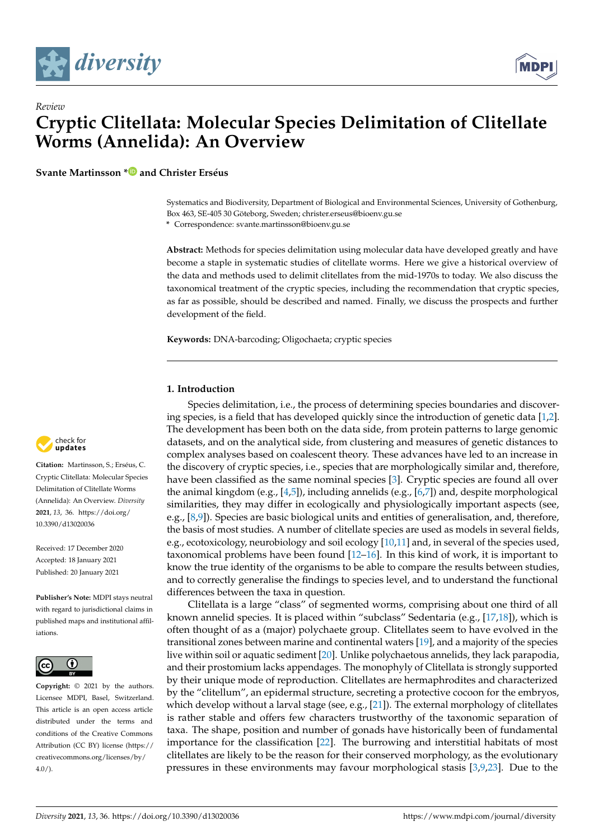



**Svante Martinsson [\\*](https://orcid.org/0000-0002-6884-343X) and Christer Erséus**

Systematics and Biodiversity, Department of Biological and Environmental Sciences, University of Gothenburg, Box 463, SE-405 30 Göteborg, Sweden; christer.erseus@bioenv.gu.se

**\*** Correspondence: svante.martinsson@bioenv.gu.se

**Abstract:** Methods for species delimitation using molecular data have developed greatly and have become a staple in systematic studies of clitellate worms. Here we give a historical overview of the data and methods used to delimit clitellates from the mid-1970s to today. We also discuss the taxonomical treatment of the cryptic species, including the recommendation that cryptic species, as far as possible, should be described and named. Finally, we discuss the prospects and further development of the field.

**Keywords:** DNA-barcoding; Oligochaeta; cryptic species

## **1. Introduction**

Species delimitation, i.e., the process of determining species boundaries and discovering species, is a field that has developed quickly since the introduction of genetic data [\[1](#page-6-0)[,2\]](#page-6-1). The development has been both on the data side, from protein patterns to large genomic datasets, and on the analytical side, from clustering and measures of genetic distances to complex analyses based on coalescent theory. These advances have led to an increase in the discovery of cryptic species, i.e., species that are morphologically similar and, therefore, have been classified as the same nominal species [\[3\]](#page-6-2). Cryptic species are found all over the animal kingdom (e.g.,  $[4,5]$  $[4,5]$ ), including annelids (e.g.,  $[6,7]$  $[6,7]$ ) and, despite morphological similarities, they may differ in ecologically and physiologically important aspects (see, e.g., [\[8,](#page-6-7)[9\]](#page-6-8)). Species are basic biological units and entities of generalisation, and, therefore, the basis of most studies. A number of clitellate species are used as models in several fields, e.g., ecotoxicology, neurobiology and soil ecology [\[10,](#page-6-9)[11\]](#page-6-10) and, in several of the species used, taxonomical problems have been found [\[12](#page-6-11)[–16\]](#page-6-12). In this kind of work, it is important to know the true identity of the organisms to be able to compare the results between studies, and to correctly generalise the findings to species level, and to understand the functional differences between the taxa in question.

Clitellata is a large "class" of segmented worms, comprising about one third of all known annelid species. It is placed within "subclass" Sedentaria (e.g., [\[17,](#page-6-13)[18\]](#page-6-14)), which is often thought of as a (major) polychaete group. Clitellates seem to have evolved in the transitional zones between marine and continental waters [\[19\]](#page-6-15), and a majority of the species live within soil or aquatic sediment [\[20\]](#page-6-16). Unlike polychaetous annelids, they lack parapodia, and their prostomium lacks appendages. The monophyly of Clitellata is strongly supported by their unique mode of reproduction. Clitellates are hermaphrodites and characterized by the "clitellum", an epidermal structure, secreting a protective cocoon for the embryos, which develop without a larval stage (see, e.g., [\[21\]](#page-6-17)). The external morphology of clitellates is rather stable and offers few characters trustworthy of the taxonomic separation of taxa. The shape, position and number of gonads have historically been of fundamental importance for the classification [\[22\]](#page-6-18). The burrowing and interstitial habitats of most clitellates are likely to be the reason for their conserved morphology, as the evolutionary pressures in these environments may favour morphological stasis [\[3](#page-6-2)[,9](#page-6-8)[,23\]](#page-6-19). Due to the



**Citation:** Martinsson, S.; Erséus, C. Cryptic Clitellata: Molecular Species Delimitation of Clitellate Worms (Annelida): An Overview. *Diversity* **2021**, *13*, 36. [https://doi.org/](https://doi.org/10.3390/d13020036) [10.3390/d13020036](https://doi.org/10.3390/d13020036)

Received: 17 December 2020 Accepted: 18 January 2021 Published: 20 January 2021

**Publisher's Note:** MDPI stays neutral with regard to jurisdictional claims in published maps and institutional affiliations.



**Copyright:** © 2021 by the authors. Licensee MDPI, Basel, Switzerland. This article is an open access article distributed under the terms and conditions of the Creative Commons Attribution (CC BY) license (https:/[/](https://creativecommons.org/licenses/by/4.0/) [creativecommons.org/licenses/by/](https://creativecommons.org/licenses/by/4.0/)  $4.0/$ ).

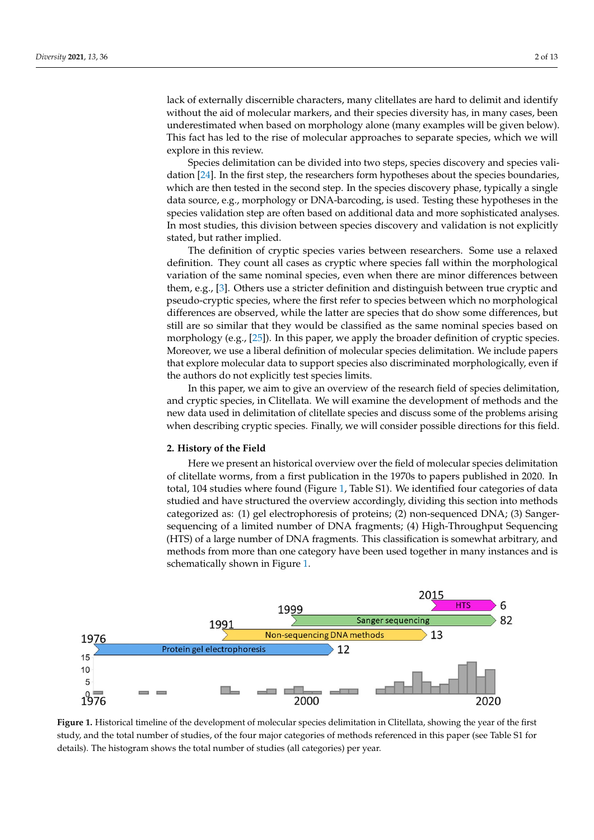lack of externally discernible characters, many clitellates are hard to delimit and identify without the aid of molecular markers, and their species diversity has, in many cases, been underestimated when based on morphology alone (many examples will be given below). This fact has led to the rise of molecular approaches to separate species, which we will explore in this review.

Species delimitation can be divided into two steps, species discovery and species validation [\[24\]](#page-6-20). In the first step, the researchers form hypotheses about the species boundaries, which are then tested in the second step. In the species discovery phase, typically a single data source, e.g., morphology or DNA-barcoding, is used. Testing these hypotheses in the species validation step are often based on additional data and more sophisticated analyses. In most studies, this division between species discovery and validation is not explicitly stated, but rather implied.

The definition of cryptic species varies between researchers. Some use a relaxed definition. They count all cases as cryptic where species fall within the morphological variation of the same nominal species, even when there are minor differences between them, e.g., [\[3\]](#page-6-2). Others use a stricter definition and distinguish between true cryptic and pseudo-cryptic species, where the first refer to species between which no morphological differences are observed, while the latter are species that do show some differences, but still are so similar that they would be classified as the same nominal species based on morphology (e.g., [\[25\]](#page-6-21)). In this paper, we apply the broader definition of cryptic species. Moreover, we use a liberal definition of molecular species delimitation. We include papers that explore molecular data to support species also discriminated morphologically, even if the authors do not explicitly test species limits.

In this paper, we aim to give an overview of the research field of species delimitation, and cryptic species, in Clitellata. We will examine the development of methods and the new data used in delimitation of clitellate species and discuss some of the problems arising when describing cryptic species. Finally, we will consider possible directions for this field.

### **2. History of the Field**

Here we present an historical overview over the field of molecular species delimitation of clitellate worms, from a first publication in the 1970s to papers published in 2020. In total, 104 studies where found (Figure [1,](#page-1-0) Table S1). We identified four categories of data studied and have structured the overview accordingly, dividing this section into methods categorized as: (1) gel electrophoresis of proteins; (2) non-sequenced DNA; (3) Sangersequencing of a limited number of DNA fragments; (4) High-Throughput Sequencing (HTS) of a large number of DNA fragments. This classification is somewhat arbitrary, and methods from more than one category have been used together in many instances and is schematically shown in Figure [1.](#page-1-0)

<span id="page-1-0"></span>

Figure 1. Historical timeline of the development of molecular species delimitation in Clitellata, showing the year of the first study, and the total number of studies, of the four major categories of methods referenced in this paper (see Table S1 for for details). The histogram shows the total number of studies (all categories) per year. details). The histogram shows the total number of studies (all categories) per year.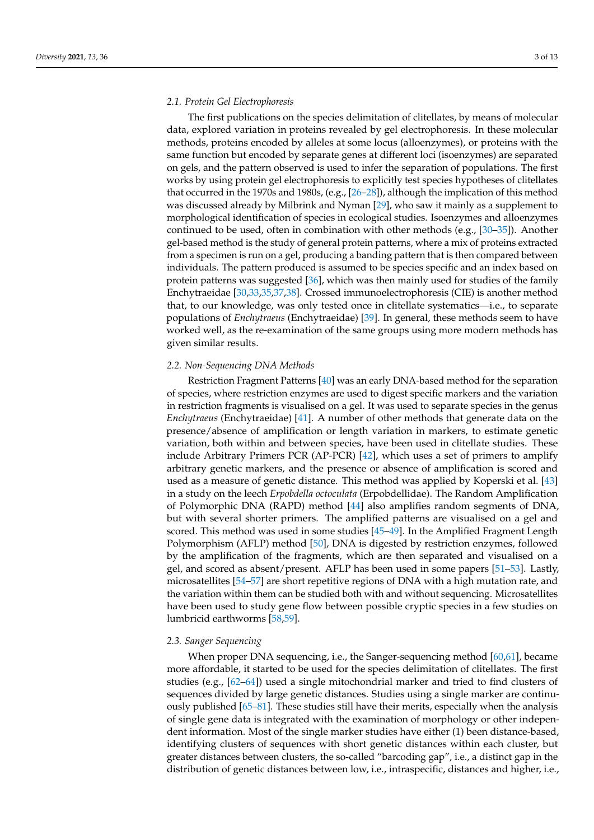## *2.1. Protein Gel Electrophoresis*

The first publications on the species delimitation of clitellates, by means of molecular data, explored variation in proteins revealed by gel electrophoresis. In these molecular methods, proteins encoded by alleles at some locus (alloenzymes), or proteins with the same function but encoded by separate genes at different loci (isoenzymes) are separated on gels, and the pattern observed is used to infer the separation of populations. The first works by using protein gel electrophoresis to explicitly test species hypotheses of clitellates that occurred in the 1970s and 1980s, (e.g., [\[26](#page-6-22)[–28\]](#page-7-0)), although the implication of this method was discussed already by Milbrink and Nyman [\[29\]](#page-7-1), who saw it mainly as a supplement to morphological identification of species in ecological studies. Isoenzymes and alloenzymes continued to be used, often in combination with other methods (e.g., [\[30–](#page-7-2)[35\]](#page-7-3)). Another gel-based method is the study of general protein patterns, where a mix of proteins extracted from a specimen is run on a gel, producing a banding pattern that is then compared between individuals. The pattern produced is assumed to be species specific and an index based on protein patterns was suggested [\[36\]](#page-7-4), which was then mainly used for studies of the family Enchytraeidae [\[30,](#page-7-2)[33,](#page-7-5)[35,](#page-7-3)[37,](#page-7-6)[38\]](#page-7-7). Crossed immunoelectrophoresis (CIE) is another method that, to our knowledge, was only tested once in clitellate systematics—i.e., to separate populations of *Enchytraeus* (Enchytraeidae) [\[39\]](#page-7-8). In general, these methods seem to have worked well, as the re-examination of the same groups using more modern methods has given similar results.

### *2.2. Non-Sequencing DNA Methods*

Restriction Fragment Patterns [\[40\]](#page-7-9) was an early DNA-based method for the separation of species, where restriction enzymes are used to digest specific markers and the variation in restriction fragments is visualised on a gel. It was used to separate species in the genus *Enchytraeus* (Enchytraeidae) [\[41\]](#page-7-10). A number of other methods that generate data on the presence/absence of amplification or length variation in markers, to estimate genetic variation, both within and between species, have been used in clitellate studies. These include Arbitrary Primers PCR (AP-PCR) [\[42\]](#page-7-11), which uses a set of primers to amplify arbitrary genetic markers, and the presence or absence of amplification is scored and used as a measure of genetic distance. This method was applied by Koperski et al. [\[43\]](#page-7-12) in a study on the leech *Erpobdella octoculata* (Erpobdellidae). The Random Amplification of Polymorphic DNA (RAPD) method [\[44\]](#page-7-13) also amplifies random segments of DNA, but with several shorter primers. The amplified patterns are visualised on a gel and scored. This method was used in some studies [\[45](#page-7-14)[–49\]](#page-7-15). In the Amplified Fragment Length Polymorphism (AFLP) method [\[50\]](#page-7-16), DNA is digested by restriction enzymes, followed by the amplification of the fragments, which are then separated and visualised on a gel, and scored as absent/present. AFLP has been used in some papers [\[51](#page-7-17)[–53\]](#page-7-18). Lastly, microsatellites [\[54](#page-7-19)[–57\]](#page-8-0) are short repetitive regions of DNA with a high mutation rate, and the variation within them can be studied both with and without sequencing. Microsatellites have been used to study gene flow between possible cryptic species in a few studies on lumbricid earthworms [\[58](#page-8-1)[,59\]](#page-8-2).

### *2.3. Sanger Sequencing*

When proper DNA sequencing, i.e., the Sanger-sequencing method [\[60,](#page-8-3)[61\]](#page-8-4), became more affordable, it started to be used for the species delimitation of clitellates. The first studies (e.g., [\[62](#page-8-5)[–64\]](#page-8-6)) used a single mitochondrial marker and tried to find clusters of sequences divided by large genetic distances. Studies using a single marker are continuously published [\[65](#page-8-7)[–81\]](#page-8-8). These studies still have their merits, especially when the analysis of single gene data is integrated with the examination of morphology or other independent information. Most of the single marker studies have either (1) been distance-based, identifying clusters of sequences with short genetic distances within each cluster, but greater distances between clusters, the so-called "barcoding gap", i.e., a distinct gap in the distribution of genetic distances between low, i.e., intraspecific, distances and higher, i.e.,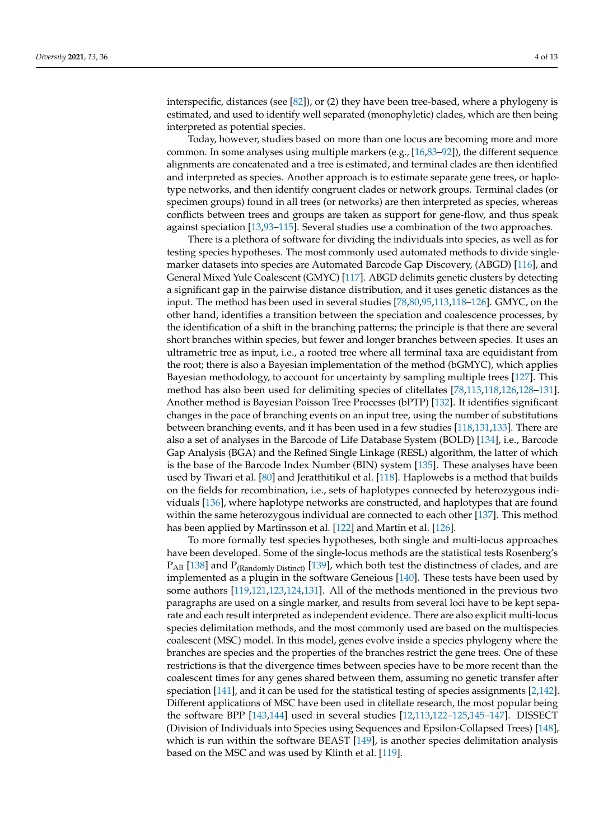interspecific, distances (see [\[82\]](#page-9-0)), or (2) they have been tree-based, where a phylogeny is estimated, and used to identify well separated (monophyletic) clades, which are then being interpreted as potential species.

Today, however, studies based on more than one locus are becoming more and more common. In some analyses using multiple markers (e.g., [\[16](#page-6-12)[,83](#page-9-1)[–92\]](#page-9-2)), the different sequence alignments are concatenated and a tree is estimated, and terminal clades are then identified and interpreted as species. Another approach is to estimate separate gene trees, or haplotype networks, and then identify congruent clades or network groups. Terminal clades (or specimen groups) found in all trees (or networks) are then interpreted as species, whereas conflicts between trees and groups are taken as support for gene-flow, and thus speak against speciation [\[13](#page-6-23)[,93](#page-9-3)[–115\]](#page-10-0). Several studies use a combination of the two approaches.

There is a plethora of software for dividing the individuals into species, as well as for testing species hypotheses. The most commonly used automated methods to divide singlemarker datasets into species are Automated Barcode Gap Discovery, (ABGD) [\[116\]](#page-10-1), and General Mixed Yule Coalescent (GMYC) [\[117\]](#page-10-2). ABGD delimits genetic clusters by detecting a significant gap in the pairwise distance distribution, and it uses genetic distances as the input. The method has been used in several studies [\[78](#page-8-9)[,80](#page-8-10)[,95,](#page-9-4)[113,](#page-10-3)[118–](#page-10-4)[126\]](#page-10-5). GMYC, on the other hand, identifies a transition between the speciation and coalescence processes, by the identification of a shift in the branching patterns; the principle is that there are several short branches within species, but fewer and longer branches between species. It uses an ultrametric tree as input, i.e., a rooted tree where all terminal taxa are equidistant from the root; there is also a Bayesian implementation of the method (bGMYC), which applies Bayesian methodology, to account for uncertainty by sampling multiple trees [\[127\]](#page-10-6). This method has also been used for delimiting species of clitellates [\[78,](#page-8-9)[113,](#page-10-3)[118,](#page-10-4)[126,](#page-10-5)[128](#page-10-7)[–131\]](#page-10-8). Another method is Bayesian Poisson Tree Processes (bPTP) [\[132\]](#page-10-9). It identifies significant changes in the pace of branching events on an input tree, using the number of substitutions between branching events, and it has been used in a few studies [\[118,](#page-10-4)[131,](#page-10-8)[133\]](#page-11-0). There are also a set of analyses in the Barcode of Life Database System (BOLD) [\[134\]](#page-11-1), i.e., Barcode Gap Analysis (BGA) and the Refined Single Linkage (RESL) algorithm, the latter of which is the base of the Barcode Index Number (BIN) system [\[135\]](#page-11-2). These analyses have been used by Tiwari et al. [\[80\]](#page-8-10) and Jeratthitikul et al. [\[118\]](#page-10-4). Haplowebs is a method that builds on the fields for recombination, i.e., sets of haplotypes connected by heterozygous individuals [\[136\]](#page-11-3), where haplotype networks are constructed, and haplotypes that are found within the same heterozygous individual are connected to each other [\[137\]](#page-11-4). This method has been applied by Martinsson et al. [\[122\]](#page-10-10) and Martin et al. [\[126\]](#page-10-5).

To more formally test species hypotheses, both single and multi-locus approaches have been developed. Some of the single-locus methods are the statistical tests Rosenberg's  $P_{AB}$  [\[138\]](#page-11-5) and  $P_{(Randomly District)}$  [\[139\]](#page-11-6), which both test the distinctness of clades, and are implemented as a plugin in the software Geneious [\[140\]](#page-11-7). These tests have been used by some authors [\[119,](#page-10-11)[121,](#page-10-12)[123,](#page-10-13)[124,](#page-10-14)[131\]](#page-10-8). All of the methods mentioned in the previous two paragraphs are used on a single marker, and results from several loci have to be kept separate and each result interpreted as independent evidence. There are also explicit multi-locus species delimitation methods, and the most commonly used are based on the multispecies coalescent (MSC) model. In this model, genes evolve inside a species phylogeny where the branches are species and the properties of the branches restrict the gene trees. One of these restrictions is that the divergence times between species have to be more recent than the coalescent times for any genes shared between them, assuming no genetic transfer after speciation [\[141\]](#page-11-8), and it can be used for the statistical testing of species assignments [\[2](#page-6-1)[,142\]](#page-11-9). Different applications of MSC have been used in clitellate research, the most popular being the software BPP [\[143,](#page-11-10)[144\]](#page-11-11) used in several studies [\[12,](#page-6-11)[113,](#page-10-3)[122–](#page-10-10)[125,](#page-10-15)[145–](#page-11-12)[147\]](#page-11-13). DISSECT (Division of Individuals into Species using Sequences and Epsilon-Collapsed Trees) [\[148\]](#page-11-14), which is run within the software BEAST [\[149\]](#page-11-15), is another species delimitation analysis based on the MSC and was used by Klinth et al. [\[119\]](#page-10-11).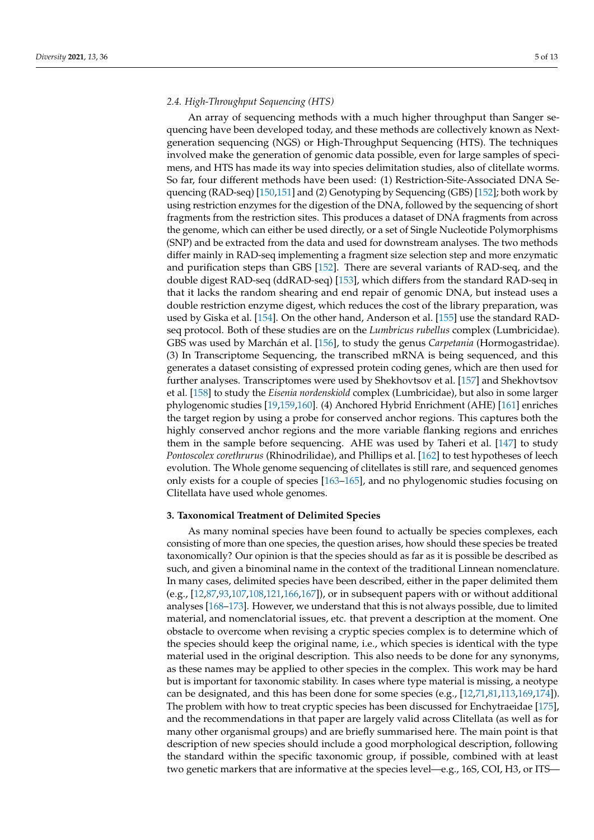# *2.4. High-Throughput Sequencing (HTS)*

An array of sequencing methods with a much higher throughput than Sanger sequencing have been developed today, and these methods are collectively known as Nextgeneration sequencing (NGS) or High-Throughput Sequencing (HTS). The techniques involved make the generation of genomic data possible, even for large samples of specimens, and HTS has made its way into species delimitation studies, also of clitellate worms. So far, four different methods have been used: (1) Restriction-Site-Associated DNA Sequencing (RAD-seq) [\[150,](#page-11-16)[151\]](#page-11-17) and (2) Genotyping by Sequencing (GBS) [\[152\]](#page-11-18); both work by using restriction enzymes for the digestion of the DNA, followed by the sequencing of short fragments from the restriction sites. This produces a dataset of DNA fragments from across the genome, which can either be used directly, or a set of Single Nucleotide Polymorphisms (SNP) and be extracted from the data and used for downstream analyses. The two methods differ mainly in RAD-seq implementing a fragment size selection step and more enzymatic and purification steps than GBS [\[152\]](#page-11-18). There are several variants of RAD-seq, and the double digest RAD-seq (ddRAD-seq) [\[153\]](#page-11-19), which differs from the standard RAD-seq in that it lacks the random shearing and end repair of genomic DNA, but instead uses a double restriction enzyme digest, which reduces the cost of the library preparation, was used by Giska et al. [\[154\]](#page-11-20). On the other hand, Anderson et al. [\[155\]](#page-11-21) use the standard RADseq protocol. Both of these studies are on the *Lumbricus rubellus* complex (Lumbricidae). GBS was used by Marchán et al. [\[156\]](#page-11-22), to study the genus *Carpetania* (Hormogastridae). (3) In Transcriptome Sequencing, the transcribed mRNA is being sequenced, and this generates a dataset consisting of expressed protein coding genes, which are then used for further analyses. Transcriptomes were used by Shekhovtsov et al. [\[157\]](#page-11-23) and Shekhovtsov et al. [\[158\]](#page-11-24) to study the *Eisenia nordenskiold* complex (Lumbricidae), but also in some larger phylogenomic studies [\[19,](#page-6-15)[159,](#page-11-25)[160\]](#page-11-26). (4) Anchored Hybrid Enrichment (AHE) [\[161\]](#page-11-27) enriches the target region by using a probe for conserved anchor regions. This captures both the highly conserved anchor regions and the more variable flanking regions and enriches them in the sample before sequencing. AHE was used by Taheri et al. [\[147\]](#page-11-13) to study *Pontoscolex corethrurus* (Rhinodrilidae), and Phillips et al. [\[162\]](#page-12-0) to test hypotheses of leech evolution. The Whole genome sequencing of clitellates is still rare, and sequenced genomes only exists for a couple of species [\[163](#page-12-1)[–165\]](#page-12-2), and no phylogenomic studies focusing on Clitellata have used whole genomes.

### **3. Taxonomical Treatment of Delimited Species**

As many nominal species have been found to actually be species complexes, each consisting of more than one species, the question arises, how should these species be treated taxonomically? Our opinion is that the species should as far as it is possible be described as such, and given a binominal name in the context of the traditional Linnean nomenclature. In many cases, delimited species have been described, either in the paper delimited them (e.g., [\[12](#page-6-11)[,87](#page-9-5)[,93](#page-9-3)[,107](#page-10-16)[,108](#page-10-17)[,121](#page-10-12)[,166](#page-12-3)[,167\]](#page-12-4)), or in subsequent papers with or without additional analyses [\[168](#page-12-5)[–173\]](#page-12-6). However, we understand that this is not always possible, due to limited material, and nomenclatorial issues, etc. that prevent a description at the moment. One obstacle to overcome when revising a cryptic species complex is to determine which of the species should keep the original name, i.e., which species is identical with the type material used in the original description. This also needs to be done for any synonyms, as these names may be applied to other species in the complex. This work may be hard but is important for taxonomic stability. In cases where type material is missing, a neotype can be designated, and this has been done for some species (e.g., [\[12](#page-6-11)[,71](#page-8-11)[,81](#page-8-8)[,113](#page-10-3)[,169,](#page-12-7)[174\]](#page-12-8)). The problem with how to treat cryptic species has been discussed for Enchytraeidae [\[175\]](#page-12-9), and the recommendations in that paper are largely valid across Clitellata (as well as for many other organismal groups) and are briefly summarised here. The main point is that description of new species should include a good morphological description, following the standard within the specific taxonomic group, if possible, combined with at least two genetic markers that are informative at the species level—e.g., 16S, COI, H3, or ITS—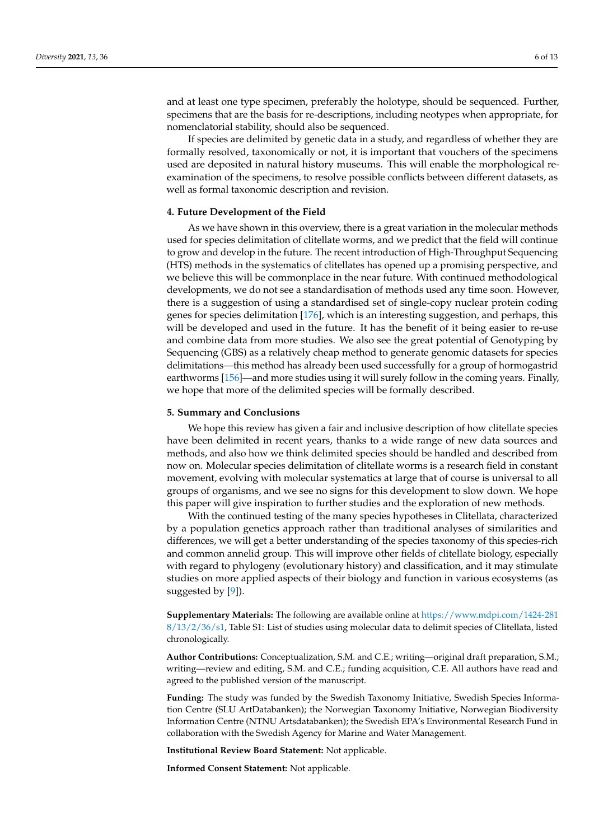and at least one type specimen, preferably the holotype, should be sequenced. Further, specimens that are the basis for re-descriptions, including neotypes when appropriate, for nomenclatorial stability, should also be sequenced.

If species are delimited by genetic data in a study, and regardless of whether they are formally resolved, taxonomically or not, it is important that vouchers of the specimens used are deposited in natural history museums. This will enable the morphological reexamination of the specimens, to resolve possible conflicts between different datasets, as well as formal taxonomic description and revision.

## **4. Future Development of the Field**

As we have shown in this overview, there is a great variation in the molecular methods used for species delimitation of clitellate worms, and we predict that the field will continue to grow and develop in the future. The recent introduction of High-Throughput Sequencing (HTS) methods in the systematics of clitellates has opened up a promising perspective, and we believe this will be commonplace in the near future. With continued methodological developments, we do not see a standardisation of methods used any time soon. However, there is a suggestion of using a standardised set of single-copy nuclear protein coding genes for species delimitation [\[176\]](#page-12-10), which is an interesting suggestion, and perhaps, this will be developed and used in the future. It has the benefit of it being easier to re-use and combine data from more studies. We also see the great potential of Genotyping by Sequencing (GBS) as a relatively cheap method to generate genomic datasets for species delimitations—this method has already been used successfully for a group of hormogastrid earthworms [\[156\]](#page-11-22)—and more studies using it will surely follow in the coming years. Finally, we hope that more of the delimited species will be formally described.

## **5. Summary and Conclusions**

We hope this review has given a fair and inclusive description of how clitellate species have been delimited in recent years, thanks to a wide range of new data sources and methods, and also how we think delimited species should be handled and described from now on. Molecular species delimitation of clitellate worms is a research field in constant movement, evolving with molecular systematics at large that of course is universal to all groups of organisms, and we see no signs for this development to slow down. We hope this paper will give inspiration to further studies and the exploration of new methods.

With the continued testing of the many species hypotheses in Clitellata, characterized by a population genetics approach rather than traditional analyses of similarities and differences, we will get a better understanding of the species taxonomy of this species-rich and common annelid group. This will improve other fields of clitellate biology, especially with regard to phylogeny (evolutionary history) and classification, and it may stimulate studies on more applied aspects of their biology and function in various ecosystems (as suggested by [\[9\]](#page-6-8)).

**Supplementary Materials:** The following are available online at [https://www.mdpi.com/1424-281](https://www.mdpi.com/1424-2818/13/2/36/s1) [8/13/2/36/s1,](https://www.mdpi.com/1424-2818/13/2/36/s1) Table S1: List of studies using molecular data to delimit species of Clitellata, listed chronologically.

**Author Contributions:** Conceptualization, S.M. and C.E.; writing—original draft preparation, S.M.; writing—review and editing, S.M. and C.E.; funding acquisition, C.E. All authors have read and agreed to the published version of the manuscript.

**Funding:** The study was funded by the Swedish Taxonomy Initiative, Swedish Species Information Centre (SLU ArtDatabanken); the Norwegian Taxonomy Initiative, Norwegian Biodiversity Information Centre (NTNU Artsdatabanken); the Swedish EPA's Environmental Research Fund in collaboration with the Swedish Agency for Marine and Water Management.

**Institutional Review Board Statement:** Not applicable.

**Informed Consent Statement:** Not applicable.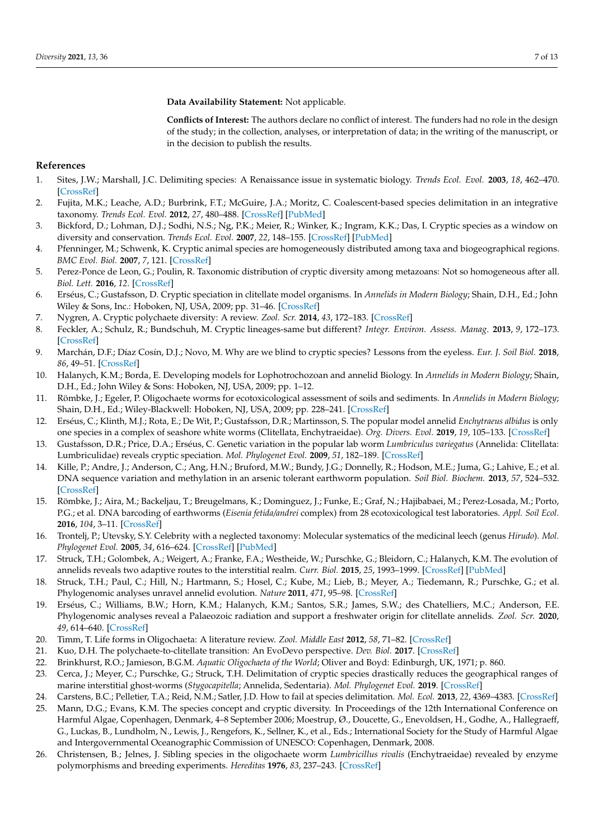**Data Availability Statement:** Not applicable.

**Conflicts of Interest:** The authors declare no conflict of interest. The funders had no role in the design of the study; in the collection, analyses, or interpretation of data; in the writing of the manuscript, or in the decision to publish the results.

### **References**

- <span id="page-6-0"></span>1. Sites, J.W.; Marshall, J.C. Delimiting species: A Renaissance issue in systematic biology. *Trends Ecol. Evol.* **2003**, *18*, 462–470. [\[CrossRef\]](http://doi.org/10.1016/S0169-5347(03)00184-8)
- <span id="page-6-1"></span>2. Fujita, M.K.; Leache, A.D.; Burbrink, F.T.; McGuire, J.A.; Moritz, C. Coalescent-based species delimitation in an integrative taxonomy. *Trends Ecol. Evol.* **2012**, *27*, 480–488. [\[CrossRef\]](http://doi.org/10.1016/j.tree.2012.04.012) [\[PubMed\]](http://www.ncbi.nlm.nih.gov/pubmed/22633974)
- <span id="page-6-2"></span>3. Bickford, D.; Lohman, D.J.; Sodhi, N.S.; Ng, P.K.; Meier, R.; Winker, K.; Ingram, K.K.; Das, I. Cryptic species as a window on diversity and conservation. *Trends Ecol. Evol.* **2007**, *22*, 148–155. [\[CrossRef\]](http://doi.org/10.1016/j.tree.2006.11.004) [\[PubMed\]](http://www.ncbi.nlm.nih.gov/pubmed/17129636)
- <span id="page-6-3"></span>4. Pfenninger, M.; Schwenk, K. Cryptic animal species are homogeneously distributed among taxa and biogeographical regions. *BMC Evol. Biol.* **2007**, *7*, 121. [\[CrossRef\]](http://doi.org/10.1186/1471-2148-7-121)
- <span id="page-6-4"></span>5. Perez-Ponce de Leon, G.; Poulin, R. Taxonomic distribution of cryptic diversity among metazoans: Not so homogeneous after all. *Biol. Lett.* **2016**, *12*. [\[CrossRef\]](http://doi.org/10.1098/rsbl.2016.0371)
- <span id="page-6-5"></span>6. Erséus, C.; Gustafsson, D. Cryptic speciation in clitellate model organisms. In *Annelids in Modern Biology*; Shain, D.H., Ed.; John Wiley & Sons, Inc.: Hoboken, NJ, USA, 2009; pp. 31–46. [\[CrossRef\]](http://doi.org/10.1002/9780470455203.ch3)
- <span id="page-6-6"></span>7. Nygren, A. Cryptic polychaete diversity: A review. *Zool. Scr.* **2014**, *43*, 172–183. [\[CrossRef\]](http://doi.org/10.1111/zsc.12044)
- <span id="page-6-7"></span>8. Feckler, A.; Schulz, R.; Bundschuh, M. Cryptic lineages-same but different? *Integr. Environ. Assess. Manag.* **2013**, *9*, 172–173. [\[CrossRef\]](http://doi.org/10.1002/ieam.1370)
- <span id="page-6-8"></span>9. Marchán, D.F.; Díaz Cosín, D.J.; Novo, M. Why are we blind to cryptic species? Lessons from the eyeless. *Eur. J. Soil Biol.* **2018**, *86*, 49–51. [\[CrossRef\]](http://doi.org/10.1016/j.ejsobi.2018.03.004)
- <span id="page-6-9"></span>10. Halanych, K.M.; Borda, E. Developing models for Lophotrochozoan and annelid Biology. In *Annelids in Modern Biology*; Shain, D.H., Ed.; John Wiley & Sons: Hoboken, NJ, USA, 2009; pp. 1–12.
- <span id="page-6-10"></span>11. Römbke, J.; Egeler, P. Oligochaete worms for ecotoxicological assessment of soils and sediments. In *Annelids in Modern Biology*; Shain, D.H., Ed.; Wiley-Blackwell: Hoboken, NJ, USA, 2009; pp. 228–241. [\[CrossRef\]](http://doi.org/10.1002/9780470455203.ch12,)
- <span id="page-6-11"></span>12. Erséus, C.; Klinth, M.J.; Rota, E.; De Wit, P.; Gustafsson, D.R.; Martinsson, S. The popular model annelid *Enchytraeus albidus* is only one species in a complex of seashore white worms (Clitellata, Enchytraeidae). *Org. Divers. Evol.* **2019**, *19*, 105–133. [\[CrossRef\]](http://doi.org/10.1007/s13127-019-00402-6)
- <span id="page-6-23"></span>13. Gustafsson, D.R.; Price, D.A.; Erséus, C. Genetic variation in the popular lab worm *Lumbriculus variegatus* (Annelida: Clitellata: Lumbriculidae) reveals cryptic speciation. *Mol. Phylogenet Evol.* **2009**, *51*, 182–189. [\[CrossRef\]](http://doi.org/10.1016/j.ympev.2008.12.016)
- 14. Kille, P.; Andre, J.; Anderson, C.; Ang, H.N.; Bruford, M.W.; Bundy, J.G.; Donnelly, R.; Hodson, M.E.; Juma, G.; Lahive, E.; et al. DNA sequence variation and methylation in an arsenic tolerant earthworm population. *Soil Biol. Biochem.* **2013**, *57*, 524–532. [\[CrossRef\]](http://doi.org/10.1016/j.soilbio.2012.10.014)
- 15. Römbke, J.; Aira, M.; Backeljau, T.; Breugelmans, K.; Dominguez, J.; Funke, E.; Graf, N.; Hajibabaei, M.; Perez-Losada, M.; Porto, P.G.; et al. DNA barcoding of earthworms (*Eisenia fetida/andrei* complex) from 28 ecotoxicological test laboratories. *Appl. Soil Ecol.* **2016**, *104*, 3–11. [\[CrossRef\]](http://doi.org/10.1016/j.apsoil.2015.02.010)
- <span id="page-6-12"></span>16. Trontelj, P.; Utevsky, S.Y. Celebrity with a neglected taxonomy: Molecular systematics of the medicinal leech (genus *Hirudo*). *Mol. Phylogenet Evol.* **2005**, *34*, 616–624. [\[CrossRef\]](http://doi.org/10.1016/j.ympev.2004.10.012) [\[PubMed\]](http://www.ncbi.nlm.nih.gov/pubmed/15683933)
- <span id="page-6-13"></span>17. Struck, T.H.; Golombek, A.; Weigert, A.; Franke, F.A.; Westheide, W.; Purschke, G.; Bleidorn, C.; Halanych, K.M. The evolution of annelids reveals two adaptive routes to the interstitial realm. *Curr. Biol.* **2015**, *25*, 1993–1999. [\[CrossRef\]](http://doi.org/10.1016/j.cub.2015.06.007) [\[PubMed\]](http://www.ncbi.nlm.nih.gov/pubmed/26212885)
- <span id="page-6-14"></span>18. Struck, T.H.; Paul, C.; Hill, N.; Hartmann, S.; Hosel, C.; Kube, M.; Lieb, B.; Meyer, A.; Tiedemann, R.; Purschke, G.; et al. Phylogenomic analyses unravel annelid evolution. *Nature* **2011**, *471*, 95–98. [\[CrossRef\]](http://doi.org/10.1038/nature09864)
- <span id="page-6-15"></span>19. Erséus, C.; Williams, B.W.; Horn, K.M.; Halanych, K.M.; Santos, S.R.; James, S.W.; des Chatelliers, M.C.; Anderson, F.E. Phylogenomic analyses reveal a Palaeozoic radiation and support a freshwater origin for clitellate annelids. *Zool. Scr.* **2020**, *49*, 614–640. [\[CrossRef\]](http://doi.org/10.1111/zsc.12426)
- <span id="page-6-16"></span>20. Timm, T. Life forms in Oligochaeta: A literature review. *Zool. Middle East* **2012**, *58*, 71–82. [\[CrossRef\]](http://doi.org/10.1080/09397140.2012.10648986)
- <span id="page-6-17"></span>21. Kuo, D.H. The polychaete-to-clitellate transition: An EvoDevo perspective. *Dev. Biol.* **2017**. [\[CrossRef\]](http://doi.org/10.1016/j.ydbio.2017.01.016)
- <span id="page-6-18"></span>22. Brinkhurst, R.O.; Jamieson, B.G.M. *Aquatic Oligochaeta of the World*; Oliver and Boyd: Edinburgh, UK, 1971; p. 860.
- <span id="page-6-19"></span>23. Cerca, J.; Meyer, C.; Purschke, G.; Struck, T.H. Delimitation of cryptic species drastically reduces the geographical ranges of marine interstitial ghost-worms (*Stygocapitella*; Annelida, Sedentaria). *Mol. Phylogenet Evol.* **2019**. [\[CrossRef\]](http://doi.org/10.1016/j.ympev.2019.106663)
- <span id="page-6-20"></span>24. Carstens, B.C.; Pelletier, T.A.; Reid, N.M.; Satler, J.D. How to fail at species delimitation. *Mol. Ecol.* **2013**, *22*, 4369–4383. [\[CrossRef\]](http://doi.org/10.1111/mec.12413)
- <span id="page-6-21"></span>25. Mann, D.G.; Evans, K.M. The species concept and cryptic diversity. In Proceedings of the 12th International Conference on Harmful Algae, Copenhagen, Denmark, 4–8 September 2006; Moestrup, Ø., Doucette, G., Enevoldsen, H., Godhe, A., Hallegraeff, G., Luckas, B., Lundholm, N., Lewis, J., Rengefors, K., Sellner, K., et al., Eds.; International Society for the Study of Harmful Algae and Intergovernmental Oceanographic Commission of UNESCO: Copenhagen, Denmark, 2008.
- <span id="page-6-22"></span>26. Christensen, B.; Jelnes, J. Sibling species in the oligochaete worm *Lumbricillus rivalis* (Enchytraeidae) revealed by enzyme polymorphisms and breeding experiments. *Hereditas* **1976**, *83*, 237–243. [\[CrossRef\]](http://doi.org/10.1111/j.1601-5223.1976.tb01588.x)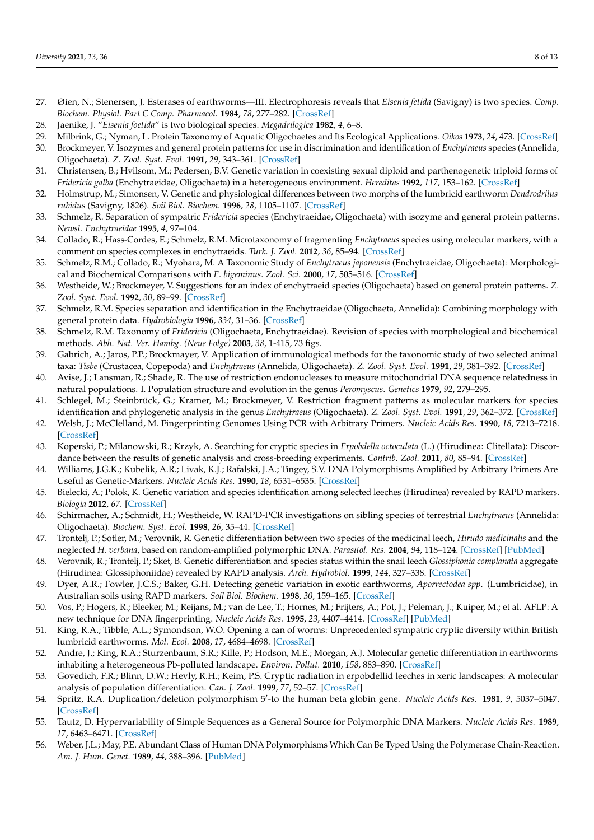- 27. Øien, N.; Stenersen, J. Esterases of earthworms—III. Electrophoresis reveals that *Eisenia fetida* (Savigny) is two species. *Comp. Biochem. Physiol. Part C Comp. Pharmacol.* **1984**, *78*, 277–282. [\[CrossRef\]](http://doi.org/10.1016/0742-8413(84)90083-5)
- <span id="page-7-0"></span>28. Jaenike, J. "*Eisenia foetida*" is two biological species. *Megadrilogica* **1982**, *4*, 6–8.
- <span id="page-7-1"></span>29. Milbrink, G.; Nyman, L. Protein Taxonomy of Aquatic Oligochaetes and Its Ecological Applications. *Oikos* **1973**, *24*, 473. [\[CrossRef\]](http://doi.org/10.2307/3543825)
- <span id="page-7-2"></span>30. Brockmeyer, V. Isozymes and general protein patterns for use in discrimination and identification of *Enchytraeus* species (Annelida, Oligochaeta). *Z. Zool. Syst. Evol.* **1991**, *29*, 343–361. [\[CrossRef\]](http://doi.org/10.1111/j.1439-0469.1991.tb00457.x)
- 31. Christensen, B.; Hvilsom, M.; Pedersen, B.V. Genetic variation in coexisting sexual diploid and parthenogenetic triploid forms of *Fridericia galba* (Enchytraeidae, Oligochaeta) in a heterogeneous environment. *Hereditas* **1992**, *117*, 153–162. [\[CrossRef\]](http://doi.org/10.1111/j.1601-5223.1992.tb00169.x)
- 32. Holmstrup, M.; Simonsen, V. Genetic and physiological differences between two morphs of the lumbricid earthworm *Dendrodrilus rubidus* (Savigny, 1826). *Soil Biol. Biochem.* **1996**, *28*, 1105–1107. [\[CrossRef\]](http://doi.org/10.1016/0038-0717(96)00110-1)
- <span id="page-7-5"></span>33. Schmelz, R. Separation of sympatric *Fridericia* species (Enchytraeidae, Oligochaeta) with isozyme and general protein patterns. *Newsl. Enchytraeidae* **1995**, *4*, 97–104.
- 34. Collado, R.; Hass-Cordes, E.; Schmelz, R.M. Microtaxonomy of fragmenting *Enchytraeus* species using molecular markers, with a comment on species complexes in enchytraeids. *Turk. J. Zool.* **2012**, *36*, 85–94. [\[CrossRef\]](http://doi.org/10.3906/zoo-1002-70)
- <span id="page-7-3"></span>35. Schmelz, R.M.; Collado, R.; Myohara, M. A Taxonomic Study of *Enchytraeus japonensis* (Enchytraeidae, Oligochaeta): Morphological and Biochemical Comparisons with *E. bigeminus*. *Zool. Sci.* **2000**, *17*, 505–516. [\[CrossRef\]](http://doi.org/10.2108/0289-0003(2000)17[505:atsoej]2.0.co;2)
- <span id="page-7-4"></span>36. Westheide, W.; Brockmeyer, V. Suggestions for an index of enchytraeid species (Oligochaeta) based on general protein patterns. *Z. Zool. Syst. Evol.* **1992**, *30*, 89–99. [\[CrossRef\]](http://doi.org/10.1111/j.1439-0469.1992.tb00160.x)
- <span id="page-7-6"></span>37. Schmelz, R.M. Species separation and identification in the Enchytraeidae (Oligochaeta, Annelida): Combining morphology with general protein data. *Hydrobiologia* **1996**, *334*, 31–36. [\[CrossRef\]](http://doi.org/10.1007/BF00017351)
- <span id="page-7-7"></span>38. Schmelz, R.M. Taxonomy of *Fridericia* (Oligochaeta, Enchytraeidae). Revision of species with morphological and biochemical methods. *Abh. Nat. Ver. Hambg. (Neue Folge)* **2003**, *38*, 1-415, 73 figs.
- <span id="page-7-8"></span>39. Gabrich, A.; Jaros, P.P.; Brockmayer, V. Application of immunological methods for the taxonomic study of two selected animal taxa: *Tisbe* (Crustacea, Copepoda) and *Enchytraeus* (Annelida, Oligochaeta). *Z. Zool. Syst. Evol.* **1991**, *29*, 381–392. [\[CrossRef\]](http://doi.org/10.1111/j.1439-0469.1991.tb00460.x)
- <span id="page-7-9"></span>40. Avise, J.; Lansman, R.; Shade, R. The use of restriction endonucleases to measure mitochondrial DNA sequence relatedness in natural populations. I. Population structure and evolution in the genus *Peromyscus*. *Genetics* **1979**, *92*, 279–295.
- <span id="page-7-10"></span>41. Schlegel, M.; Steinbrück, G.; Kramer, M.; Brockmeyer, V. Restriction fragment patterns as molecular markers for species identification and phylogenetic analysis in the genus *Enchytraeus* (Oligochaeta). *Z. Zool. Syst. Evol.* **1991**, *29*, 362–372. [\[CrossRef\]](http://doi.org/10.1111/j.1439-0469.1991.tb00458.x)
- <span id="page-7-11"></span>42. Welsh, J.; McClelland, M. Fingerprinting Genomes Using PCR with Arbitrary Primers. *Nucleic Acids Res.* **1990**, *18*, 7213–7218. [\[CrossRef\]](http://doi.org/10.1093/nar/18.24.7213)
- <span id="page-7-12"></span>43. Koperski, P.; Milanowski, R.; Krzyk, A. Searching for cryptic species in *Erpobdella octoculata* (L.) (Hirudinea: Clitellata): Discordance between the results of genetic analysis and cross-breeding experiments. *Contrib. Zool.* **2011**, *80*, 85–94. [\[CrossRef\]](http://doi.org/10.1163/18759866-08001004)
- <span id="page-7-13"></span>44. Williams, J.G.K.; Kubelik, A.R.; Livak, K.J.; Rafalski, J.A.; Tingey, S.V. DNA Polymorphisms Amplified by Arbitrary Primers Are Useful as Genetic-Markers. *Nucleic Acids Res.* **1990**, *18*, 6531–6535. [\[CrossRef\]](http://doi.org/10.1093/nar/18.22.6531)
- <span id="page-7-14"></span>45. Bielecki, A.; Polok, K. Genetic variation and species identification among selected leeches (Hirudinea) revealed by RAPD markers. *Biologia* **2012**, *67*. [\[CrossRef\]](http://doi.org/10.2478/s11756-012-0063-4)
- 46. Schirmacher, A.; Schmidt, H.; Westheide, W. RAPD-PCR investigations on sibling species of terrestrial *Enchytraeus* (Annelida: Oligochaeta). *Biochem. Syst. Ecol.* **1998**, *26*, 35–44. [\[CrossRef\]](http://doi.org/10.1016/S0305-1978(97)00079-3)
- 47. Trontelj, P.; Sotler, M.; Verovnik, R. Genetic differentiation between two species of the medicinal leech, *Hirudo medicinalis* and the neglected *H. verbana*, based on random-amplified polymorphic DNA. *Parasitol. Res.* **2004**, *94*, 118–124. [\[CrossRef\]](http://doi.org/10.1007/s00436-004-1181-x) [\[PubMed\]](http://www.ncbi.nlm.nih.gov/pubmed/15322921)
- 48. Verovnik, R.; Trontelj, P.; Sket, B. Genetic differentiation and species status within the snail leech *Glossiphonia complanata* aggregate (Hirudinea: Glossiphoniidae) revealed by RAPD analysis. *Arch. Hydrobiol.* **1999**, *144*, 327–338. [\[CrossRef\]](http://doi.org/10.1127/archiv-hydrobiol/144/1999/327)
- <span id="page-7-15"></span>49. Dyer, A.R.; Fowler, J.C.S.; Baker, G.H. Detecting genetic variation in exotic earthworms, *Aporrectodea spp*. (Lumbricidae), in Australian soils using RAPD markers. *Soil Biol. Biochem.* **1998**, *30*, 159–165. [\[CrossRef\]](http://doi.org/10.1016/S0038-0717(97)00098-9)
- <span id="page-7-16"></span>50. Vos, P.; Hogers, R.; Bleeker, M.; Reijans, M.; van de Lee, T.; Hornes, M.; Frijters, A.; Pot, J.; Peleman, J.; Kuiper, M.; et al. AFLP: A new technique for DNA fingerprinting. *Nucleic Acids Res.* **1995**, *23*, 4407–4414. [\[CrossRef\]](http://doi.org/10.1093/nar/23.21.4407) [\[PubMed\]](http://www.ncbi.nlm.nih.gov/pubmed/7501463)
- <span id="page-7-17"></span>51. King, R.A.; Tibble, A.L.; Symondson, W.O. Opening a can of worms: Unprecedented sympatric cryptic diversity within British lumbricid earthworms. *Mol. Ecol.* **2008**, *17*, 4684–4698. [\[CrossRef\]](http://doi.org/10.1111/j.1365-294X.2008.03931.x)
- 52. Andre, J.; King, R.A.; Sturzenbaum, S.R.; Kille, P.; Hodson, M.E.; Morgan, A.J. Molecular genetic differentiation in earthworms inhabiting a heterogeneous Pb-polluted landscape. *Environ. Pollut.* **2010**, *158*, 883–890. [\[CrossRef\]](http://doi.org/10.1016/j.envpol.2009.09.021)
- <span id="page-7-18"></span>53. Govedich, F.R.; Blinn, D.W.; Hevly, R.H.; Keim, P.S. Cryptic radiation in erpobdellid leeches in xeric landscapes: A molecular analysis of population differentiation. *Can. J. Zool.* **1999**, *77*, 52–57. [\[CrossRef\]](http://doi.org/10.1139/z98-178)
- <span id="page-7-19"></span>54. Spritz, R.A. Duplication/deletion polymorphism 5'-to the human beta globin gene. *Nucleic Acids Res.* 1981, 9, 5037-5047. [\[CrossRef\]](http://doi.org/10.1093/nar/9.19.5037)
- 55. Tautz, D. Hypervariability of Simple Sequences as a General Source for Polymorphic DNA Markers. *Nucleic Acids Res.* **1989**, *17*, 6463–6471. [\[CrossRef\]](http://doi.org/10.1093/nar/17.16.6463)
- 56. Weber, J.L.; May, P.E. Abundant Class of Human DNA Polymorphisms Which Can Be Typed Using the Polymerase Chain-Reaction. *Am. J. Hum. Genet.* **1989**, *44*, 388–396. [\[PubMed\]](http://www.ncbi.nlm.nih.gov/pubmed/2916582)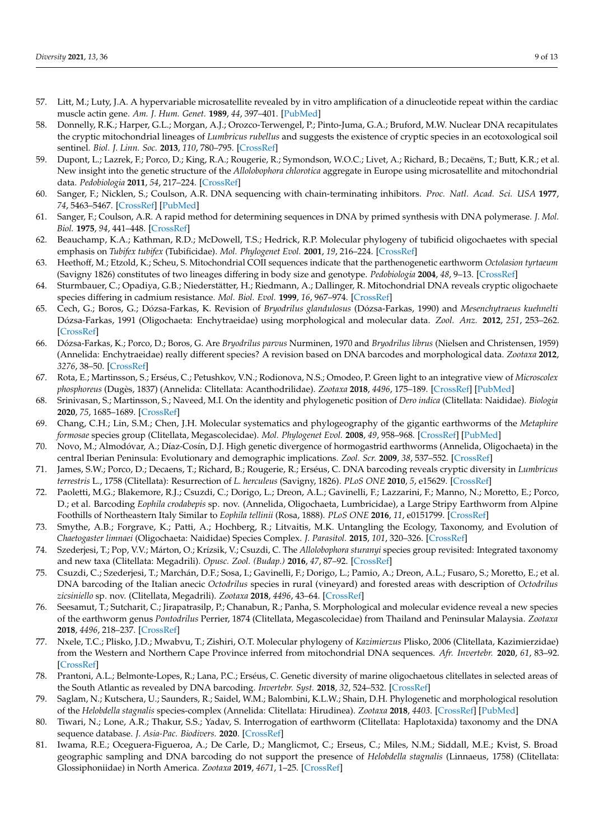- <span id="page-8-0"></span>57. Litt, M.; Luty, J.A. A hypervariable microsatellite revealed by in vitro amplification of a dinucleotide repeat within the cardiac muscle actin gene. *Am. J. Hum. Genet.* **1989**, *44*, 397–401. [\[PubMed\]](http://www.ncbi.nlm.nih.gov/pubmed/2563634)
- <span id="page-8-1"></span>58. Donnelly, R.K.; Harper, G.L.; Morgan, A.J.; Orozco-Terwengel, P.; Pinto-Juma, G.A.; Bruford, M.W. Nuclear DNA recapitulates the cryptic mitochondrial lineages of *Lumbricus rubellus* and suggests the existence of cryptic species in an ecotoxological soil sentinel. *Biol. J. Linn. Soc.* **2013**, *110*, 780–795. [\[CrossRef\]](http://doi.org/10.1111/bij.12171)
- <span id="page-8-2"></span>59. Dupont, L.; Lazrek, F.; Porco, D.; King, R.A.; Rougerie, R.; Symondson, W.O.C.; Livet, A.; Richard, B.; Decaëns, T.; Butt, K.R.; et al. New insight into the genetic structure of the *Allolobophora chlorotica* aggregate in Europe using microsatellite and mitochondrial data. *Pedobiologia* **2011**, *54*, 217–224. [\[CrossRef\]](http://doi.org/10.1016/j.pedobi.2011.03.004)
- <span id="page-8-3"></span>60. Sanger, F.; Nicklen, S.; Coulson, A.R. DNA sequencing with chain-terminating inhibitors. *Proc. Natl. Acad. Sci. USA* **1977**, *74*, 5463–5467. [\[CrossRef\]](http://doi.org/10.1073/pnas.74.12.5463) [\[PubMed\]](http://www.ncbi.nlm.nih.gov/pubmed/271968)
- <span id="page-8-4"></span>61. Sanger, F.; Coulson, A.R. A rapid method for determining sequences in DNA by primed synthesis with DNA polymerase. *J. Mol. Biol.* **1975**, *94*, 441–448. [\[CrossRef\]](http://doi.org/10.1016/0022-2836(75)90213-2)
- <span id="page-8-5"></span>62. Beauchamp, K.A.; Kathman, R.D.; McDowell, T.S.; Hedrick, R.P. Molecular phylogeny of tubificid oligochaetes with special emphasis on *Tubifex tubifex* (Tubificidae). *Mol. Phylogenet Evol.* **2001**, *19*, 216–224. [\[CrossRef\]](http://doi.org/10.1006/mpev.2001.0923)
- 63. Heethoff, M.; Etzold, K.; Scheu, S. Mitochondrial COII sequences indicate that the parthenogenetic earthworm *Octolasion tyrtaeum* (Savigny 1826) constitutes of two lineages differing in body size and genotype. *Pedobiologia* **2004**, *48*, 9–13. [\[CrossRef\]](http://doi.org/10.1016/j.pedobi.2003.04.001)
- <span id="page-8-6"></span>64. Sturmbauer, C.; Opadiya, G.B.; Niederstätter, H.; Riedmann, A.; Dallinger, R. Mitochondrial DNA reveals cryptic oligochaete species differing in cadmium resistance. *Mol. Biol. Evol.* **1999**, *16*, 967–974. [\[CrossRef\]](http://doi.org/10.1093/oxfordjournals.molbev.a026186)
- <span id="page-8-7"></span>65. Cech, G.; Boros, G.; Dózsa-Farkas, K. Revision of *Bryodrilus glandulosus* (Dózsa-Farkas, 1990) and *Mesenchytraeus kuehnelti* Dózsa-Farkas, 1991 (Oligochaeta: Enchytraeidae) using morphological and molecular data. *Zool. Anz.* **2012**, *251*, 253–262. [\[CrossRef\]](http://doi.org/10.1016/j.jcz.2011.09.005)
- 66. Dózsa-Farkas, K.; Porco, D.; Boros, G. Are *Bryodrilus parvus* Nurminen, 1970 and *Bryodrilus librus* (Nielsen and Christensen, 1959) (Annelida: Enchytraeidae) really different species? A revision based on DNA barcodes and morphological data. *Zootaxa* **2012**, *3276*, 38–50. [\[CrossRef\]](http://doi.org/10.11646/zootaxa.3276.1.2)
- 67. Rota, E.; Martinsson, S.; Erséus, C.; Petushkov, V.N.; Rodionova, N.S.; Omodeo, P. Green light to an integrative view of *Microscolex phosphoreus* (Dugès, 1837) (Annelida: Clitellata: Acanthodrilidae). *Zootaxa* **2018**, *4496*, 175–189. [\[CrossRef\]](http://doi.org/10.11646/zootaxa.4496.1.13) [\[PubMed\]](http://www.ncbi.nlm.nih.gov/pubmed/30313693)
- 68. Srinivasan, S.; Martinsson, S.; Naveed, M.I. On the identity and phylogenetic position of *Dero indica* (Clitellata: Naididae). *Biologia* **2020**, *75*, 1685–1689. [\[CrossRef\]](http://doi.org/10.2478/s11756-020-00422-0)
- 69. Chang, C.H.; Lin, S.M.; Chen, J.H. Molecular systematics and phylogeography of the gigantic earthworms of the *Metaphire formosae* species group (Clitellata, Megascolecidae). *Mol. Phylogenet Evol.* **2008**, *49*, 958–968. [\[CrossRef\]](http://doi.org/10.1016/j.ympev.2008.08.025) [\[PubMed\]](http://www.ncbi.nlm.nih.gov/pubmed/18809504)
- 70. Novo, M.; Almodóvar, A.; Díaz-Cosín, D.J. High genetic divergence of hormogastrid earthworms (Annelida, Oligochaeta) in the central Iberian Peninsula: Evolutionary and demographic implications. *Zool. Scr.* **2009**, *38*, 537–552. [\[CrossRef\]](http://doi.org/10.1111/j.1463-6409.2009.00389.x)
- <span id="page-8-11"></span>71. James, S.W.; Porco, D.; Decaens, T.; Richard, B.; Rougerie, R.; Erséus, C. DNA barcoding reveals cryptic diversity in *Lumbricus terrestris* L., 1758 (Clitellata): Resurrection of *L. herculeus* (Savigny, 1826). *PLoS ONE* **2010**, *5*, e15629. [\[CrossRef\]](http://doi.org/10.1371/journal.pone.0015629)
- 72. Paoletti, M.G.; Blakemore, R.J.; Csuzdi, C.; Dorigo, L.; Dreon, A.L.; Gavinelli, F.; Lazzarini, F.; Manno, N.; Moretto, E.; Porco, D.; et al. Barcoding *Eophila crodabepis* sp. nov. (Annelida, Oligochaeta, Lumbricidae), a Large Stripy Earthworm from Alpine Foothills of Northeastern Italy Similar to *Eophila tellinii* (Rosa, 1888). *PLoS ONE* **2016**, *11*, e0151799. [\[CrossRef\]](http://doi.org/10.1371/journal.pone.0151799)
- 73. Smythe, A.B.; Forgrave, K.; Patti, A.; Hochberg, R.; Litvaitis, M.K. Untangling the Ecology, Taxonomy, and Evolution of *Chaetogaster limnaei* (Oligochaeta: Naididae) Species Complex. *J. Parasitol.* **2015**, *101*, 320–326. [\[CrossRef\]](http://doi.org/10.1645/13-465.1)
- 74. Szederjesi, T.; Pop, V.V.; Márton, O.; Krízsik, V.; Csuzdi, C. The *Allolobophora sturanyi* species group revisited: Integrated taxonomy and new taxa (Clitellata: Megadrili). *Opusc. Zool. (Budap.)* **2016**, *47*, 87–92. [\[CrossRef\]](http://doi.org/10.18348/opzool.2016.1.87)
- 75. Csuzdi, C.; Szederjesi, T.; Marchán, D.F.; Sosa, I.; Gavinelli, F.; Dorigo, L.; Pamio, A.; Dreon, A.L.; Fusaro, S.; Moretto, E.; et al. DNA barcoding of the Italian anecic *Octodrilus* species in rural (vineyard) and forested areas with description of *Octodrilus zicsiniello* sp. nov. (Clitellata, Megadrili). *Zootaxa* **2018**, *4496*, 43–64. [\[CrossRef\]](http://doi.org/10.11646/zootaxa.4496.1.5)
- 76. Seesamut, T.; Sutcharit, C.; Jirapatrasilp, P.; Chanabun, R.; Panha, S. Morphological and molecular evidence reveal a new species of the earthworm genus *Pontodrilus* Perrier, 1874 (Clitellata, Megascolecidae) from Thailand and Peninsular Malaysia. *Zootaxa* **2018**, *4496*, 218–237. [\[CrossRef\]](http://doi.org/10.11646/zootaxa.4496.1.18)
- 77. Nxele, T.C.; Plisko, J.D.; Mwabvu, T.; Zishiri, O.T. Molecular phylogeny of *Kazimierzus* Plisko, 2006 (Clitellata, Kazimierzidae) from the Western and Northern Cape Province inferred from mitochondrial DNA sequences. *Afr. Invertebr.* **2020**, *61*, 83–92. [\[CrossRef\]](http://doi.org/10.3897/afrinvertebr.61.53380)
- <span id="page-8-9"></span>78. Prantoni, A.L.; Belmonte-Lopes, R.; Lana, P.C.; Erséus, C. Genetic diversity of marine oligochaetous clitellates in selected areas of the South Atlantic as revealed by DNA barcoding. *Invertebr. Syst.* **2018**, *32*, 524–532. [\[CrossRef\]](http://doi.org/10.1071/IS17029)
- 79. Saglam, N.; Kutschera, U.; Saunders, R.; Saidel, W.M.; Balombini, K.L.W.; Shain, D.H. Phylogenetic and morphological resolution of the *Helobdella stagnalis* species-complex (Annelida: Clitellata: Hirudinea). *Zootaxa* **2018**, *4403*. [\[CrossRef\]](http://doi.org/10.11646/zootaxa.4403.1.3) [\[PubMed\]](http://www.ncbi.nlm.nih.gov/pubmed/29690244)
- <span id="page-8-10"></span>80. Tiwari, N.; Lone, A.R.; Thakur, S.S.; Yadav, S. Interrogation of earthworm (Clitellata: Haplotaxida) taxonomy and the DNA sequence database. *J. Asia-Pac. Biodivers.* **2020**. [\[CrossRef\]](http://doi.org/10.1016/j.japb.2020.09.015)
- <span id="page-8-8"></span>81. Iwama, R.E.; Oceguera-Figueroa, A.; De Carle, D.; Manglicmot, C.; Erseus, C.; Miles, N.M.; Siddall, M.E.; Kvist, S. Broad geographic sampling and DNA barcoding do not support the presence of *Helobdella stagnalis* (Linnaeus, 1758) (Clitellata: Glossiphoniidae) in North America. *Zootaxa* **2019**, *4671*, 1–25. [\[CrossRef\]](http://doi.org/10.11646/zootaxa.4671.1.1)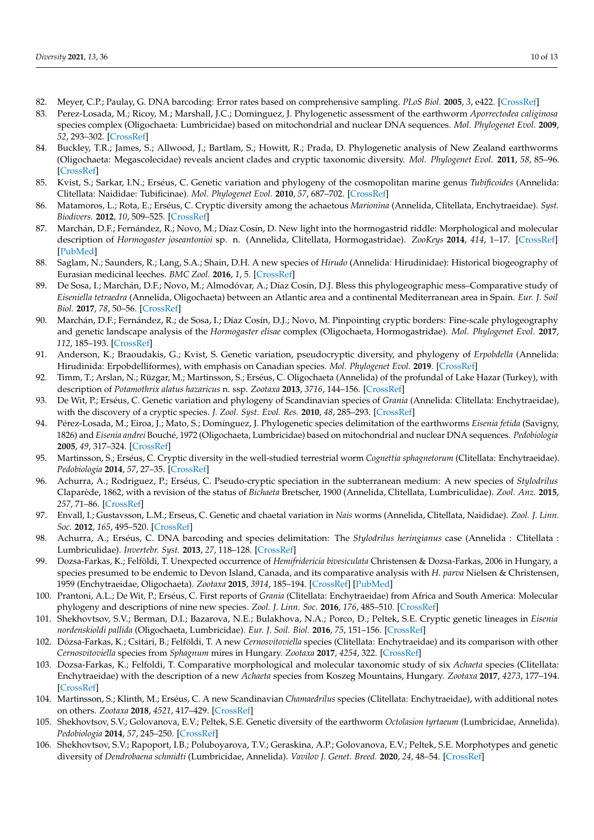- <span id="page-9-0"></span>82. Meyer, C.P.; Paulay, G. DNA barcoding: Error rates based on comprehensive sampling. *PLoS Biol.* **2005**, *3*, e422. [\[CrossRef\]](http://doi.org/10.1371/journal.pbio.0030422)
- <span id="page-9-1"></span>83. Perez-Losada, M.; Ricoy, M.; Marshall, J.C.; Dominguez, J. Phylogenetic assessment of the earthworm *Aporrectodea caliginosa* species complex (Oligochaeta: Lumbricidae) based on mitochondrial and nuclear DNA sequences. *Mol. Phylogenet Evol.* **2009**, *52*, 293–302. [\[CrossRef\]](http://doi.org/10.1016/j.ympev.2009.04.003)
- 84. Buckley, T.R.; James, S.; Allwood, J.; Bartlam, S.; Howitt, R.; Prada, D. Phylogenetic analysis of New Zealand earthworms (Oligochaeta: Megascolecidae) reveals ancient clades and cryptic taxonomic diversity. *Mol. Phylogenet Evol.* **2011**, *58*, 85–96. [\[CrossRef\]](http://doi.org/10.1016/j.ympev.2010.09.024)
- 85. Kvist, S.; Sarkar, I.N.; Erséus, C. Genetic variation and phylogeny of the cosmopolitan marine genus *Tubificoides* (Annelida: Clitellata: Naididae: Tubificinae). *Mol. Phylogenet Evol.* **2010**, *57*, 687–702. [\[CrossRef\]](http://doi.org/10.1016/j.ympev.2010.08.018)
- 86. Matamoros, L.; Rota, E.; Erséus, C. Cryptic diversity among the achaetous *Marionina* (Annelida, Clitellata, Enchytraeidae). *Syst. Biodivers.* **2012**, *10*, 509–525. [\[CrossRef\]](http://doi.org/10.1080/14772000.2012.723640)
- <span id="page-9-5"></span>87. Marchán, D.F.; Fernández, R.; Novo, M.; Díaz Cosín, D. New light into the hormogastrid riddle: Morphological and molecular description of *Hormogaster joseantonioi* sp. n. (Annelida, Clitellata, Hormogastridae). *ZooKeys* **2014**, *414*, 1–17. [\[CrossRef\]](http://doi.org/10.3897/zookeys.414.7665) [\[PubMed\]](http://www.ncbi.nlm.nih.gov/pubmed/25009415)
- 88. Saglam, N.; Saunders, R.; Lang, S.A.; Shain, D.H. A new species of *Hirudo* (Annelida: Hirudinidae): Historical biogeography of Eurasian medicinal leeches. *BMC Zool.* **2016**, *1*, 5. [\[CrossRef\]](http://doi.org/10.1186/s40850-016-0002-x)
- 89. De Sosa, I.; Marchán, D.F.; Novo, M.; Almodóvar, A.; Díaz Cosín, D.J. Bless this phylogeographic mess–Comparative study of *Eiseniella tetraedra* (Annelida, Oligochaeta) between an Atlantic area and a continental Mediterranean area in Spain. *Eur. J. Soil Biol.* **2017**, *78*, 50–56. [\[CrossRef\]](http://doi.org/10.1016/j.ejsobi.2016.11.006)
- 90. Marchán, D.F.; Fernández, R.; de Sosa, I.; Díaz Cosín, D.J.; Novo, M. Pinpointing cryptic borders: Fine-scale phylogeography and genetic landscape analysis of the *Hormogaster elisae* complex (Oligochaeta, Hormogastridae). *Mol. Phylogenet Evol.* **2017**, *112*, 185–193. [\[CrossRef\]](http://doi.org/10.1016/j.ympev.2017.05.005)
- 91. Anderson, K.; Braoudakis, G.; Kvist, S. Genetic variation, pseudocryptic diversity, and phylogeny of *Erpobdella* (Annelida: Hirudinida: Erpobdelliformes), with emphasis on Canadian species. *Mol. Phylogenet Evol.* **2019**. [\[CrossRef\]](http://doi.org/10.1016/j.ympev.2019.106688)
- <span id="page-9-2"></span>92. Timm, T.; Arslan, N.; Rüzgar, M.; Martinsson, S.; Erséus, C. Oligochaeta (Annelida) of the profundal of Lake Hazar (Turkey), with description of *Potamothrix alatus hazaricus* n. ssp. *Zootaxa* **2013**, *3716*, 144–156. [\[CrossRef\]](http://doi.org/10.11646/zootaxa.3716.2.2)
- <span id="page-9-3"></span>93. De Wit, P.; Erséus, C. Genetic variation and phylogeny of Scandinavian species of *Grania* (Annelida: Clitellata: Enchytraeidae), with the discovery of a cryptic species. *J. Zool. Syst. Evol. Res.* **2010**, *48*, 285–293. [\[CrossRef\]](http://doi.org/10.1111/j.1439-0469.2010.00571.x)
- 94. Pérez-Losada, M.; Eiroa, J.; Mato, S.; Domínguez, J. Phylogenetic species delimitation of the earthworms *Eisenia fetida* (Savigny, 1826) and *Eisenia andrei* Bouché, 1972 (Oligochaeta, Lumbricidae) based on mitochondrial and nuclear DNA sequences. *Pedobiologia* **2005**, *49*, 317–324. [\[CrossRef\]](http://doi.org/10.1016/j.pedobi.2005.02.004)
- <span id="page-9-4"></span>95. Martinsson, S.; Erséus, C. Cryptic diversity in the well-studied terrestrial worm *Cognettia sphagnetorum* (Clitellata: Enchytraeidae). *Pedobiologia* **2014**, *57*, 27–35. [\[CrossRef\]](http://doi.org/10.1016/j.pedobi.2013.09.006)
- 96. Achurra, A.; Rodriguez, P.; Erséus, C. Pseudo-cryptic speciation in the subterranean medium: A new species of *Stylodrilus* Claparède, 1862, with a revision of the status of *Bichaeta* Bretscher, 1900 (Annelida, Clitellata, Lumbriculidae). *Zool. Anz.* **2015**, *257*, 71–86. [\[CrossRef\]](http://doi.org/10.1016/j.jcz.2015.05.003)
- 97. Envall, I.; Gustavsson, L.M.; Erseus, C. Genetic and chaetal variation in *Nais* worms (Annelida, Clitellata, Naididae). *Zool. J. Linn. Soc.* **2012**, *165*, 495–520. [\[CrossRef\]](http://doi.org/10.1111/j.1096-3642.2012.00828.x)
- 98. Achurra, A.; Erséus, C. DNA barcoding and species delimitation: The *Stylodrilus heringianus* case (Annelida : Clitellata : Lumbriculidae). *Invertebr. Syst.* **2013**, *27*, 118–128. [\[CrossRef\]](http://doi.org/10.1071/IS12049)
- 99. Dozsa-Farkas, K.; Felföldi, T. Unexpected occurrence of *Hemifridericia bivesiculata* Christensen & Dozsa-Farkas, 2006 in Hungary, a species presumed to be endemic to Devon Island, Canada, and its comparative analysis with *H. parva* Nielsen & Christensen, 1959 (Enchytraeidae, Oligochaeta). *Zootaxa* **2015**, *3914*, 185–194. [\[CrossRef\]](http://doi.org/10.11646/zootaxa.3914.2.8) [\[PubMed\]](http://www.ncbi.nlm.nih.gov/pubmed/25661940)
- 100. Prantoni, A.L.; De Wit, P.; Erséus, C. First reports of *Grania* (Clitellata: Enchytraeidae) from Africa and South America: Molecular phylogeny and descriptions of nine new species. *Zool. J. Linn. Soc.* **2016**, *176*, 485–510. [\[CrossRef\]](http://doi.org/10.1111/zoj.12333)
- 101. Shekhovtsov, S.V.; Berman, D.I.; Bazarova, N.E.; Bulakhova, N.A.; Porco, D.; Peltek, S.E. Cryptic genetic lineages in *Eisenia nordenskioldi pallida* (Oligochaeta, Lumbricidae). *Eur. J. Soil. Biol.* **2016**, *75*, 151–156. [\[CrossRef\]](http://doi.org/10.1016/j.ejsobi.2016.06.004)
- 102. Dózsa-Farkas, K.; Csitári, B.; Felföldi, T. A new *Cernosvitoviella* species (Clitellata: Enchytraeidae) and its comparison with other *Cernosvitoviella* species from *Sphagnum* mires in Hungary. *Zootaxa* **2017**, *4254*, 322. [\[CrossRef\]](http://doi.org/10.11646/zootaxa.4254.3.2)
- 103. Dozsa-Farkas, K.; Felfoldi, T. Comparative morphological and molecular taxonomic study of six *Achaeta* species (Clitellata: Enchytraeidae) with the description of a new *Achaeta* species from Koszeg Mountains, Hungary. *Zootaxa* **2017**, *4273*, 177–194. [\[CrossRef\]](http://doi.org/10.11646/zootaxa.4273.2.2)
- 104. Martinsson, S.; Klinth, M.; Erséus, C. A new Scandinavian *Chamaedrilus* species (Clitellata: Enchytraeidae), with additional notes on others. *Zootaxa* **2018**, *4521*, 417–429. [\[CrossRef\]](http://doi.org/10.11646/zootaxa.4521.3.7)
- 105. Shekhovtsov, S.V.; Golovanova, E.V.; Peltek, S.E. Genetic diversity of the earthworm *Octolasion tyrtaeum* (Lumbricidae, Annelida). *Pedobiologia* **2014**, *57*, 245–250. [\[CrossRef\]](http://doi.org/10.1016/j.pedobi.2014.09.002)
- 106. Shekhovtsov, S.V.; Rapoport, I.B.; Poluboyarova, T.V.; Geraskina, A.P.; Golovanova, E.V.; Peltek, S.E. Morphotypes and genetic diversity of *Dendrobaena schmidti* (Lumbricidae, Annelida). *Vavilov J. Genet. Breed.* **2020**, *24*, 48–54. [\[CrossRef\]](http://doi.org/10.18699/VJ20.594)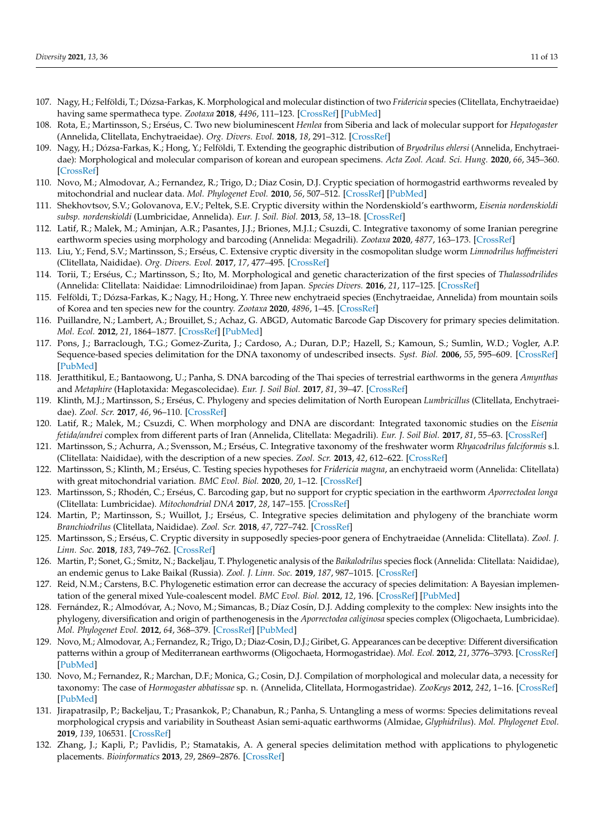- <span id="page-10-16"></span>107. Nagy, H.; Felföldi, T.; Dózsa-Farkas, K. Morphological and molecular distinction of two *Fridericia* species (Clitellata, Enchytraeidae) having same spermatheca type. *Zootaxa* **2018**, *4496*, 111–123. [\[CrossRef\]](http://doi.org/10.11646/zootaxa.4496.1.8) [\[PubMed\]](http://www.ncbi.nlm.nih.gov/pubmed/30313688)
- <span id="page-10-17"></span>108. Rota, E.; Martinsson, S.; Erséus, C. Two new bioluminescent *Henlea* from Siberia and lack of molecular support for *Hepatogaster* (Annelida, Clitellata, Enchytraeidae). *Org. Divers. Evol.* **2018**, *18*, 291–312. [\[CrossRef\]](http://doi.org/10.1007/s13127-018-0374-6)
- 109. Nagy, H.; Dózsa-Farkas, K.; Hong, Y.; Felföldi, T. Extending the geographic distribution of *Bryodrilus ehlersi* (Annelida, Enchytraeidae): Morphological and molecular comparison of korean and european specimens. *Acta Zool. Acad. Sci. Hung.* **2020**, *66*, 345–360. [\[CrossRef\]](http://doi.org/10.17109/AZH.66.4.345.2020)
- 110. Novo, M.; Almodovar, A.; Fernandez, R.; Trigo, D.; Diaz Cosin, D.J. Cryptic speciation of hormogastrid earthworms revealed by mitochondrial and nuclear data. *Mol. Phylogenet Evol.* **2010**, *56*, 507–512. [\[CrossRef\]](http://doi.org/10.1016/j.ympev.2010.04.010) [\[PubMed\]](http://www.ncbi.nlm.nih.gov/pubmed/20398776)
- 111. Shekhovtsov, S.V.; Golovanova, E.V.; Peltek, S.E. Cryptic diversity within the Nordenskiold's earthworm, *Eisenia nordenskioldi subsp. nordenskioldi* (Lumbricidae, Annelida). *Eur. J. Soil. Biol.* **2013**, *58*, 13–18. [\[CrossRef\]](http://doi.org/10.1016/j.ejsobi.2013.05.004)
- 112. Latif, R.; Malek, M.; Aminjan, A.R.; Pasantes, J.J.; Briones, M.J.I.; Csuzdi, C. Integrative taxonomy of some Iranian peregrine earthworm species using morphology and barcoding (Annelida: Megadrili). *Zootaxa* **2020**, *4877*, 163–173. [\[CrossRef\]](http://doi.org/10.11646/zootaxa.4877.1.7)
- <span id="page-10-3"></span>113. Liu, Y.; Fend, S.V.; Martinsson, S.; Erséus, C. Extensive cryptic diversity in the cosmopolitan sludge worm *Limnodrilus hoffmeisteri* (Clitellata, Naididae). *Org. Divers. Evol.* **2017**, *17*, 477–495. [\[CrossRef\]](http://doi.org/10.1007/s13127-016-0317-z)
- 114. Torii, T.; Erséus, C.; Martinsson, S.; Ito, M. Morphological and genetic characterization of the first species of *Thalassodrilides* (Annelida: Clitellata: Naididae: Limnodriloidinae) from Japan. *Species Divers.* **2016**, *21*, 117–125. [\[CrossRef\]](http://doi.org/10.12782/sd.21.2.117)
- <span id="page-10-0"></span>115. Felföldi, T.; Dózsa-Farkas, K.; Nagy, H.; Hong, Y. Three new enchytraeid species (Enchytraeidae, Annelida) from mountain soils of Korea and ten species new for the country. *Zootaxa* **2020**, *4896*, 1–45. [\[CrossRef\]](http://doi.org/10.11646/zootaxa.4896.1.1)
- <span id="page-10-1"></span>116. Puillandre, N.; Lambert, A.; Brouillet, S.; Achaz, G. ABGD, Automatic Barcode Gap Discovery for primary species delimitation. *Mol. Ecol.* **2012**, *21*, 1864–1877. [\[CrossRef\]](http://doi.org/10.1111/j.1365-294X.2011.05239.x) [\[PubMed\]](http://www.ncbi.nlm.nih.gov/pubmed/21883587)
- <span id="page-10-2"></span>117. Pons, J.; Barraclough, T.G.; Gomez-Zurita, J.; Cardoso, A.; Duran, D.P.; Hazell, S.; Kamoun, S.; Sumlin, W.D.; Vogler, A.P. Sequence-based species delimitation for the DNA taxonomy of undescribed insects. *Syst. Biol.* **2006**, *55*, 595–609. [\[CrossRef\]](http://doi.org/10.1080/10635150600852011) [\[PubMed\]](http://www.ncbi.nlm.nih.gov/pubmed/16967577)
- <span id="page-10-4"></span>118. Jeratthitikul, E.; Bantaowong, U.; Panha, S. DNA barcoding of the Thai species of terrestrial earthworms in the genera *Amynthas* and *Metaphire* (Haplotaxida: Megascolecidae). *Eur. J. Soil Biol.* **2017**, *81*, 39–47. [\[CrossRef\]](http://doi.org/10.1016/j.ejsobi.2017.06.004)
- <span id="page-10-11"></span>119. Klinth, M.J.; Martinsson, S.; Erséus, C. Phylogeny and species delimitation of North European *Lumbricillus* (Clitellata, Enchytraeidae). *Zool. Scr.* **2017**, *46*, 96–110. [\[CrossRef\]](http://doi.org/10.1111/zsc.12187)
- 120. Latif, R.; Malek, M.; Csuzdi, C. When morphology and DNA are discordant: Integrated taxonomic studies on the *Eisenia fetida/andrei* complex from different parts of Iran (Annelida, Clitellata: Megadrili). *Eur. J. Soil Biol.* **2017**, *81*, 55–63. [\[CrossRef\]](http://doi.org/10.1016/j.ejsobi.2017.06.007)
- <span id="page-10-12"></span>121. Martinsson, S.; Achurra, A.; Svensson, M.; Erséus, C. Integrative taxonomy of the freshwater worm *Rhyacodrilus falciformis* s.l. (Clitellata: Naididae), with the description of a new species. *Zool. Scr.* **2013**, *42*, 612–622. [\[CrossRef\]](http://doi.org/10.1111/zsc.12032)
- <span id="page-10-10"></span>122. Martinsson, S.; Klinth, M.; Erséus, C. Testing species hypotheses for *Fridericia magna*, an enchytraeid worm (Annelida: Clitellata) with great mitochondrial variation. *BMC Evol. Biol.* **2020**, *20*, 1–12. [\[CrossRef\]](http://doi.org/10.1186/s12862-020-01678-5)
- <span id="page-10-13"></span>123. Martinsson, S.; Rhodén, C.; Erséus, C. Barcoding gap, but no support for cryptic speciation in the earthworm *Aporrectodea longa* (Clitellata: Lumbricidae). *Mitochondrial DNA* **2017**, *28*, 147–155. [\[CrossRef\]](http://doi.org/10.3109/19401736.2015.1115487)
- <span id="page-10-14"></span>124. Martin, P.; Martinsson, S.; Wuillot, J.; Erséus, C. Integrative species delimitation and phylogeny of the branchiate worm *Branchiodrilus* (Clitellata, Naididae). *Zool. Scr.* **2018**, *47*, 727–742. [\[CrossRef\]](http://doi.org/10.1111/zsc.12316)
- <span id="page-10-15"></span>125. Martinsson, S.; Erséus, C. Cryptic diversity in supposedly species-poor genera of Enchytraeidae (Annelida: Clitellata). *Zool. J. Linn. Soc.* **2018**, *183*, 749–762. [\[CrossRef\]](http://doi.org/10.1093/zoolinnean/zlx084)
- <span id="page-10-5"></span>126. Martin, P.; Sonet, G.; Smitz, N.; Backeljau, T. Phylogenetic analysis of the *Baikalodrilus* species flock (Annelida: Clitellata: Naididae), an endemic genus to Lake Baikal (Russia). *Zool. J. Linn. Soc.* **2019**, *187*, 987–1015. [\[CrossRef\]](http://doi.org/10.1093/zoolinnean/zlz066)
- <span id="page-10-6"></span>127. Reid, N.M.; Carstens, B.C. Phylogenetic estimation error can decrease the accuracy of species delimitation: A Bayesian implementation of the general mixed Yule-coalescent model. *BMC Evol. Biol.* **2012**, *12*, 196. [\[CrossRef\]](http://doi.org/10.1186/1471-2148-12-196) [\[PubMed\]](http://www.ncbi.nlm.nih.gov/pubmed/23031350)
- <span id="page-10-7"></span>128. Fernández, R.; Almodóvar, A.; Novo, M.; Simancas, B.; Díaz Cosín, D.J. Adding complexity to the complex: New insights into the phylogeny, diversification and origin of parthenogenesis in the *Aporrectodea caliginosa* species complex (Oligochaeta, Lumbricidae). *Mol. Phylogenet Evol.* **2012**, *64*, 368–379. [\[CrossRef\]](http://doi.org/10.1016/j.ympev.2012.04.011) [\[PubMed\]](http://www.ncbi.nlm.nih.gov/pubmed/22542691)
- 129. Novo, M.; Almodovar, A.; Fernandez, R.; Trigo, D.; Diaz-Cosin, D.J.; Giribet, G. Appearances can be deceptive: Different diversification patterns within a group of Mediterranean earthworms (Oligochaeta, Hormogastridae). *Mol. Ecol.* **2012**, *21*, 3776–3793. [\[CrossRef\]](http://doi.org/10.1111/j.1365-294X.2012.05648.x) [\[PubMed\]](http://www.ncbi.nlm.nih.gov/pubmed/22805584)
- 130. Novo, M.; Fernandez, R.; Marchan, D.F.; Monica, G.; Cosin, D.J. Compilation of morphological and molecular data, a necessity for taxonomy: The case of *Hormogaster abbatissae* sp. n. (Annelida, Clitellata, Hormogastridae). *ZooKeys* **2012**, *242*, 1–16. [\[CrossRef\]](http://doi.org/10.3897/zookeys.242.3996) [\[PubMed\]](http://www.ncbi.nlm.nih.gov/pubmed/23378793)
- <span id="page-10-8"></span>131. Jirapatrasilp, P.; Backeljau, T.; Prasankok, P.; Chanabun, R.; Panha, S. Untangling a mess of worms: Species delimitations reveal morphological crypsis and variability in Southeast Asian semi-aquatic earthworms (Almidae, *Glyphidrilus*). *Mol. Phylogenet Evol.* **2019**, *139*, 106531. [\[CrossRef\]](http://doi.org/10.1016/j.ympev.2019.106531)
- <span id="page-10-9"></span>132. Zhang, J.; Kapli, P.; Pavlidis, P.; Stamatakis, A. A general species delimitation method with applications to phylogenetic placements. *Bioinformatics* **2013**, *29*, 2869–2876. [\[CrossRef\]](http://doi.org/10.1093/bioinformatics/btt499)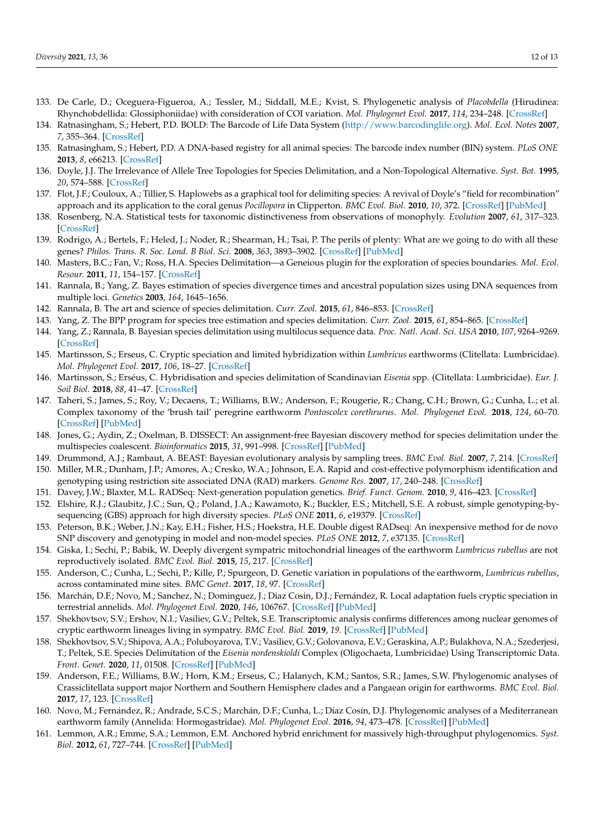- <span id="page-11-0"></span>133. De Carle, D.; Oceguera-Figueroa, A.; Tessler, M.; Siddall, M.E.; Kvist, S. Phylogenetic analysis of *Placobdella* (Hirudinea: Rhynchobdellida: Glossiphoniidae) with consideration of COI variation. *Mol. Phylogenet Evol.* **2017**, *114*, 234–248. [\[CrossRef\]](http://doi.org/10.1016/j.ympev.2017.06.017)
- <span id="page-11-1"></span>134. Ratnasingham, S.; Hebert, P.D. BOLD: The Barcode of Life Data System [\(http://www.barcodinglife.org\)](http://www.barcodinglife.org). *Mol. Ecol. Notes* **2007**, *7*, 355–364. [\[CrossRef\]](http://doi.org/10.1111/j.1471-8286.2007.01678.x)
- <span id="page-11-2"></span>135. Ratnasingham, S.; Hebert, P.D. A DNA-based registry for all animal species: The barcode index number (BIN) system. *PLoS ONE* **2013**, *8*, e66213. [\[CrossRef\]](http://doi.org/10.1371/journal.pone.0066213)
- <span id="page-11-3"></span>136. Doyle, J.J. The Irrelevance of Allele Tree Topologies for Species Delimitation, and a Non-Topological Alternative. *Syst. Bot.* **1995**, *20*, 574–588. [\[CrossRef\]](http://doi.org/10.2307/2419811)
- <span id="page-11-4"></span>137. Flot, J.F.; Couloux, A.; Tillier, S. Haplowebs as a graphical tool for delimiting species: A revival of Doyle's "field for recombination" approach and its application to the coral genus *Pocillopora* in Clipperton. *BMC Evol. Biol.* **2010**, *10*, 372. [\[CrossRef\]](http://doi.org/10.1186/1471-2148-10-372) [\[PubMed\]](http://www.ncbi.nlm.nih.gov/pubmed/21118572)
- <span id="page-11-5"></span>138. Rosenberg, N.A. Statistical tests for taxonomic distinctiveness from observations of monophyly. *Evolution* **2007**, *61*, 317–323. [\[CrossRef\]](http://doi.org/10.1111/j.1558-5646.2007.00023.x)
- <span id="page-11-6"></span>139. Rodrigo, A.; Bertels, F.; Heled, J.; Noder, R.; Shearman, H.; Tsai, P. The perils of plenty: What are we going to do with all these genes? *Philos. Trans. R. Soc. Lond. B Biol. Sci.* **2008**, *363*, 3893–3902. [\[CrossRef\]](http://doi.org/10.1098/rstb.2008.0173) [\[PubMed\]](http://www.ncbi.nlm.nih.gov/pubmed/18852100)
- <span id="page-11-7"></span>140. Masters, B.C.; Fan, V.; Ross, H.A. Species Delimitation—a Geneious plugin for the exploration of species boundaries. *Mol. Ecol. Resour.* **2011**, *11*, 154–157. [\[CrossRef\]](http://doi.org/10.1111/j.1755-0998.2010.02896.x)
- <span id="page-11-8"></span>141. Rannala, B.; Yang, Z. Bayes estimation of species divergence times and ancestral population sizes using DNA sequences from multiple loci. *Genetics* **2003**, *164*, 1645–1656.
- <span id="page-11-9"></span>142. Rannala, B. The art and science of species delimitation. *Curr. Zool.* **2015**, *61*, 846–853. [\[CrossRef\]](http://doi.org/10.1093/czoolo/61.5.846)
- <span id="page-11-10"></span>143. Yang, Z. The BPP program for species tree estimation and species delimitation. *Curr. Zool.* **2015**, *61*, 854–865. [\[CrossRef\]](http://doi.org/10.1093/czoolo/61.5.854)
- <span id="page-11-11"></span>144. Yang, Z.; Rannala, B. Bayesian species delimitation using multilocus sequence data. *Proc. Natl. Acad. Sci. USA* **2010**, *107*, 9264–9269. [\[CrossRef\]](http://doi.org/10.1073/pnas.0913022107)
- <span id="page-11-12"></span>145. Martinsson, S.; Erseus, C. Cryptic speciation and limited hybridization within *Lumbricus* earthworms (Clitellata: Lumbricidae). *Mol. Phylogenet Evol.* **2017**, *106*, 18–27. [\[CrossRef\]](http://doi.org/10.1016/j.ympev.2016.09.011)
- 146. Martinsson, S.; Erséus, C. Hybridisation and species delimitation of Scandinavian *Eisenia* spp. (Clitellata: Lumbricidae). *Eur. J. Soil Biol.* **2018**, *88*, 41–47. [\[CrossRef\]](http://doi.org/10.1016/j.ejsobi.2018.06.003)
- <span id="page-11-13"></span>147. Taheri, S.; James, S.; Roy, V.; Decaens, T.; Williams, B.W.; Anderson, F.; Rougerie, R.; Chang, C.H.; Brown, G.; Cunha, L.; et al. Complex taxonomy of the 'brush tail' peregrine earthworm *Pontoscolex corethrurus*. *Mol. Phylogenet Evol.* **2018**, *124*, 60–70. [\[CrossRef\]](http://doi.org/10.1016/j.ympev.2018.02.021) [\[PubMed\]](http://www.ncbi.nlm.nih.gov/pubmed/29501375)
- <span id="page-11-14"></span>148. Jones, G.; Aydin, Z.; Oxelman, B. DISSECT: An assignment-free Bayesian discovery method for species delimitation under the multispecies coalescent. *Bioinformatics* **2015**, *31*, 991–998. [\[CrossRef\]](http://doi.org/10.1093/bioinformatics/btu770) [\[PubMed\]](http://www.ncbi.nlm.nih.gov/pubmed/25422051)
- <span id="page-11-15"></span>149. Drummond, A.J.; Rambaut, A. BEAST: Bayesian evolutionary analysis by sampling trees. *BMC Evol. Biol.* **2007**, *7*, 214. [\[CrossRef\]](http://doi.org/10.1186/1471-2148-7-214)
- <span id="page-11-16"></span>150. Miller, M.R.; Dunham, J.P.; Amores, A.; Cresko, W.A.; Johnson, E.A. Rapid and cost-effective polymorphism identification and genotyping using restriction site associated DNA (RAD) markers. *Genome Res.* **2007**, *17*, 240–248. [\[CrossRef\]](http://doi.org/10.1101/gr.5681207)
- <span id="page-11-17"></span>151. Davey, J.W.; Blaxter, M.L. RADSeq: Next-generation population genetics. *Brief. Funct. Genom.* **2010**, *9*, 416–423. [\[CrossRef\]](http://doi.org/10.1093/bfgp/elq031)
- <span id="page-11-18"></span>152. Elshire, R.J.; Glaubitz, J.C.; Sun, Q.; Poland, J.A.; Kawamoto, K.; Buckler, E.S.; Mitchell, S.E. A robust, simple genotyping-bysequencing (GBS) approach for high diversity species. *PLoS ONE* **2011**, *6*, e19379. [\[CrossRef\]](http://doi.org/10.1371/journal.pone.0019379)
- <span id="page-11-19"></span>153. Peterson, B.K.; Weber, J.N.; Kay, E.H.; Fisher, H.S.; Hoekstra, H.E. Double digest RADseq: An inexpensive method for de novo SNP discovery and genotyping in model and non-model species. *PLoS ONE* **2012**, *7*, e37135. [\[CrossRef\]](http://doi.org/10.1371/journal.pone.0037135)
- <span id="page-11-20"></span>154. Giska, I.; Sechi, P.; Babik, W. Deeply divergent sympatric mitochondrial lineages of the earthworm *Lumbricus rubellus* are not reproductively isolated. *BMC Evol. Biol.* **2015**, *15*, 217. [\[CrossRef\]](http://doi.org/10.1186/s12862-015-0488-9)
- <span id="page-11-21"></span>155. Anderson, C.; Cunha, L.; Sechi, P.; Kille, P.; Spurgeon, D. Genetic variation in populations of the earthworm, *Lumbricus rubellus*, across contaminated mine sites. *BMC Genet.* **2017**, *18*, 97. [\[CrossRef\]](http://doi.org/10.1186/s12863-017-0557-8)
- <span id="page-11-22"></span>156. Marchán, D.F.; Novo, M.; Sanchez, N.; Dominguez, J.; Diaz Cosin, D.J.; Fernández, R. Local adaptation fuels cryptic speciation in terrestrial annelids. *Mol. Phylogenet Evol.* **2020**, *146*, 106767. [\[CrossRef\]](http://doi.org/10.1016/j.ympev.2020.106767) [\[PubMed\]](http://www.ncbi.nlm.nih.gov/pubmed/32081763)
- <span id="page-11-23"></span>157. Shekhovtsov, S.V.; Ershov, N.I.; Vasiliev, G.V.; Peltek, S.E. Transcriptomic analysis confirms differences among nuclear genomes of cryptic earthworm lineages living in sympatry. *BMC Evol. Biol.* **2019**, *19*. [\[CrossRef\]](http://doi.org/10.1186/s12862-019-1370-y) [\[PubMed\]](http://www.ncbi.nlm.nih.gov/pubmed/30813890)
- <span id="page-11-24"></span>158. Shekhovtsov, S.V.; Shipova, A.A.; Poluboyarova, T.V.; Vasiliev, G.V.; Golovanova, E.V.; Geraskina, A.P.; Bulakhova, N.A.; Szederjesi, T.; Peltek, S.E. Species Delimitation of the *Eisenia nordenskioldi* Complex (Oligochaeta, Lumbricidae) Using Transcriptomic Data. *Front. Genet.* **2020**, *11*, 01508. [\[CrossRef\]](http://doi.org/10.3389/fgene.2020.598196) [\[PubMed\]](http://www.ncbi.nlm.nih.gov/pubmed/33365049)
- <span id="page-11-25"></span>159. Anderson, F.E.; Williams, B.W.; Horn, K.M.; Erseus, C.; Halanych, K.M.; Santos, S.R.; James, S.W. Phylogenomic analyses of Crassiclitellata support major Northern and Southern Hemisphere clades and a Pangaean origin for earthworms. *BMC Evol. Biol.* **2017**, *17*, 123. [\[CrossRef\]](http://doi.org/10.1186/s12862-017-0973-4)
- <span id="page-11-26"></span>160. Novo, M.; Fernández, R.; Andrade, S.C.S.; Marchán, D.F.; Cunha, L.; Díaz Cosín, D.J. Phylogenomic analyses of a Mediterranean earthworm family (Annelida: Hormogastridae). *Mol. Phylogenet Evol.* **2016**, *94*, 473–478. [\[CrossRef\]](http://doi.org/10.1016/j.ympev.2015.10.026) [\[PubMed\]](http://www.ncbi.nlm.nih.gov/pubmed/26522608)
- <span id="page-11-27"></span>161. Lemmon, A.R.; Emme, S.A.; Lemmon, E.M. Anchored hybrid enrichment for massively high-throughput phylogenomics. *Syst. Biol.* **2012**, *61*, 727–744. [\[CrossRef\]](http://doi.org/10.1093/sysbio/sys049) [\[PubMed\]](http://www.ncbi.nlm.nih.gov/pubmed/22605266)